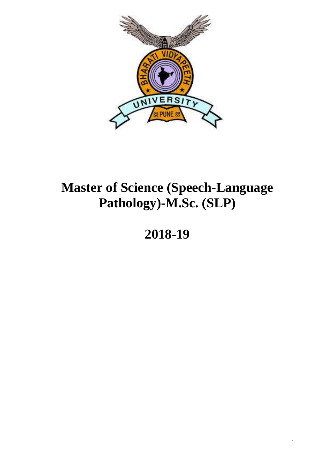

# **Master of Science (Speech-Language Pathology)-M.Sc. (SLP)**

# **2018-19**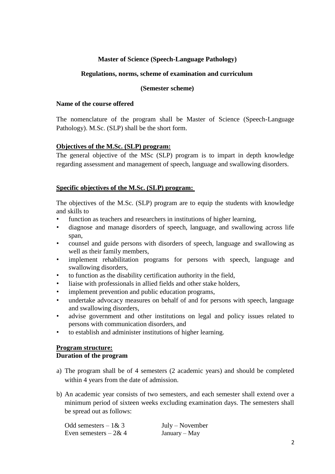## **Master of Science (Speech-Language Pathology)**

#### **Regulations, norms, scheme of examination and curriculum**

#### **(Semester scheme)**

#### **Name of the course offered**

The nomenclature of the program shall be Master of Science (Speech-Language Pathology). M.Sc. (SLP) shall be the short form.

## **Objectives of the M.Sc. (SLP) program:**

The general objective of the MSc (SLP) program is to impart in depth knowledge regarding assessment and management of speech, language and swallowing disorders.

#### **Specific objectives of the M.Sc. (SLP) program:**

The objectives of the M.Sc. (SLP) program are to equip the students with knowledge and skills to

- function as teachers and researchers in institutions of higher learning,
- diagnose and manage disorders of speech, language, and swallowing across life span,
- counsel and guide persons with disorders of speech, language and swallowing as well as their family members,
- implement rehabilitation programs for persons with speech, language and swallowing disorders,
- to function as the disability certification authority in the field,
- liaise with professionals in allied fields and other stake holders,
- implement prevention and public education programs,
- undertake advocacy measures on behalf of and for persons with speech, language and swallowing disorders,
- advise government and other institutions on legal and policy issues related to persons with communication disorders, and
- to establish and administer institutions of higher learning.

## **Program structure:**

## **Duration of the program**

- a) The program shall be of 4 semesters (2 academic years) and should be completed within 4 years from the date of admission.
- b) An academic year consists of two semesters, and each semester shall extend over a minimum period of sixteen weeks excluding examination days. The semesters shall be spread out as follows:

| Odd semesters $-1 & 3$ | $July - November$ |
|------------------------|-------------------|
| Even semesters $-2&4$  | January – May     |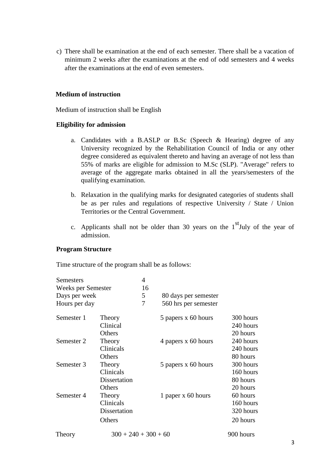c) There shall be examination at the end of each semester. There shall be a vacation of minimum 2 weeks after the examinations at the end of odd semesters and 4 weeks after the examinations at the end of even semesters.

#### **Medium of instruction**

Medium of instruction shall be English

## **Eligibility for admission**

- a. Candidates with a B.ASLP or B.Sc (Speech & Hearing) degree of any University recognized by the Rehabilitation Council of India or any other degree considered as equivalent thereto and having an average of not less than 55% of marks are eligible for admission to M.Sc (SLP). "Average" refers to average of the aggregate marks obtained in all the years/semesters of the qualifying examination.
- b. Relaxation in the qualifying marks for designated categories of students shall be as per rules and regulations of respective University / State / Union Territories or the Central Government.
- c. Applicants shall not be older than 30 years on the  $1<sup>st</sup>$  July of the year of admission.

### **Program Structure**

Time structure of the program shall be as follows:

| Semesters          |                        | 4  |                      |           |
|--------------------|------------------------|----|----------------------|-----------|
| Weeks per Semester |                        | 16 |                      |           |
| Days per week      |                        | 5  | 80 days per semester |           |
| Hours per day      |                        | 7  | 560 hrs per semester |           |
| Semester 1         | Theory                 |    | 5 papers x 60 hours  | 300 hours |
|                    | Clinical               |    |                      | 240 hours |
|                    | Others                 |    |                      | 20 hours  |
| Semester 2         | Theory                 |    | 4 papers x 60 hours  | 240 hours |
|                    | Clinicals              |    |                      | 240 hours |
|                    | Others                 |    |                      | 80 hours  |
| Semester 3         | Theory                 |    | 5 papers x 60 hours  | 300 hours |
|                    | Clinicals              |    |                      | 160 hours |
|                    | Dissertation           |    |                      | 80 hours  |
|                    | Others                 |    |                      | 20 hours  |
| Semester 4         | Theory                 |    | 1 paper x 60 hours   | 60 hours  |
|                    | Clinicals              |    |                      | 160 hours |
|                    | Dissertation           |    |                      | 320 hours |
|                    | Others                 |    |                      | 20 hours  |
| Theory             | $300 + 240 + 300 + 60$ |    |                      | 900 hours |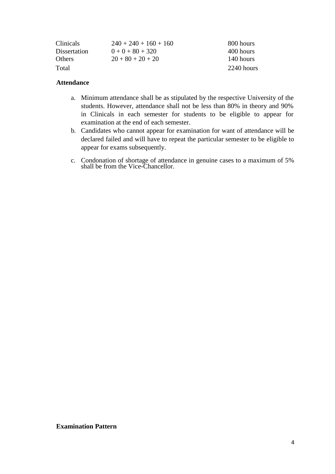| <b>Clinicals</b> | $240 + 240 + 160 + 160$ | 800 hours  |
|------------------|-------------------------|------------|
| Dissertation     | $0 + 0 + 80 + 320$      | 400 hours  |
| <b>Others</b>    | $20+80+20+20$           | 140 hours  |
| Total            |                         | 2240 hours |

#### **Attendance**

- a. Minimum attendance shall be as stipulated by the respective University of the students. However, attendance shall not be less than 80% in theory and 90% in Clinicals in each semester for students to be eligible to appear for examination at the end of each semester.
- b. Candidates who cannot appear for examination for want of attendance will be declared failed and will have to repeat the particular semester to be eligible to appear for exams subsequently.
- c. Condonation of shortage of attendance in genuine cases to a maximum of 5% shall be from the Vice-Chancellor.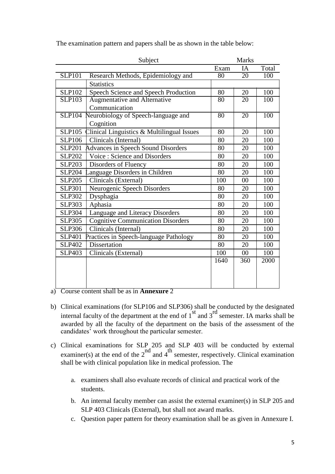| Subject       |                                            | <b>Marks</b>    |                 |       |
|---------------|--------------------------------------------|-----------------|-----------------|-------|
|               |                                            | Exam            | IA              | Total |
| <b>SLP101</b> | Research Methods, Epidemiology and         | $\overline{80}$ | 20              | 100   |
|               | <b>Statistics</b>                          |                 |                 |       |
| <b>SLP102</b> | Speech Science and Speech Production       | 80              | 20              | 100   |
| <b>SLP103</b> | <b>Augmentative and Alternative</b>        | $\overline{80}$ | $\overline{20}$ | 100   |
|               | Communication                              |                 |                 |       |
| <b>SLP104</b> | Neurobiology of Speech-language and        | $\overline{80}$ | 20              | 100   |
|               | Cognition                                  |                 |                 |       |
| <b>SLP105</b> | Clinical Linguistics & Multilingual Issues | 80              | 20              | 100   |
| <b>SLP106</b> | Clinicals (Internal)                       | 80              | 20              | 100   |
| <b>SLP201</b> | Advances in Speech Sound Disorders         | 80              | 20              | 100   |
| <b>SLP202</b> | Voice: Science and Disorders               | 80              | 20              | 100   |
| <b>SLP203</b> | Disorders of Fluency                       | 80              | 20              | 100   |
| <b>SLP204</b> | anguage Disorders in Children              | 80              | 20              | 100   |
| <b>SLP205</b> | Clinicals (External)                       | 100             | 00              | 100   |
| <b>SLP301</b> | Neurogenic Speech Disorders                | 80              | 20              | 100   |
| <b>SLP302</b> | Dysphagia                                  | 80              | 20              | 100   |
| <b>SLP303</b> | Aphasia                                    | 80              | 20              | 100   |
| <b>SLP304</b> | Language and Literacy Disorders            | 80              | 20              | 100   |
| <b>SLP305</b> | <b>Cognitive Communication Disorders</b>   | 80              | 20              | 100   |
| <b>SLP306</b> | Clinicals (Internal)                       | 80              | 20              | 100   |
| <b>SLP401</b> | Practices in Speech-language Pathology     | 80              | 20              | 100   |
| <b>SLP402</b> | <b>Dissertation</b>                        | 80              | 20              | 100   |
| <b>SLP403</b> | Clinicals (External)                       | 100             | 00              | 100   |
|               |                                            | 1640            | 360             | 2000  |
|               |                                            |                 |                 |       |
|               |                                            |                 |                 |       |
|               |                                            |                 |                 |       |

The examination pattern and papers shall be as shown in the table below:

- a) Course content shall be as in **Annexure** 2
- b) Clinical examinations (for SLP106 and SLP306) shall be conducted by the designated internal faculty of the department at the end of  $1^{\text{st}}$  and  $3^{\text{rd}}$  semester. IA marks shall be awarded by all the faculty of the department on the basis of the assessment of the candidates' work throughout the particular semester.
- c) Clinical examinations for SLP 205 and SLP 403 will be conducted by external examiner(s) at the end of the  $2^{nd}$  and  $4^{th}$  semester, respectively. Clinical examination shall be with clinical population like in medical profession. The
	- a. examiners shall also evaluate records of clinical and practical work of the students.
	- b. An internal faculty member can assist the external examiner(s) in SLP 205 and SLP 403 Clinicals (External), but shall not award marks.
	- c. Question paper pattern for theory examination shall be as given in Annexure I.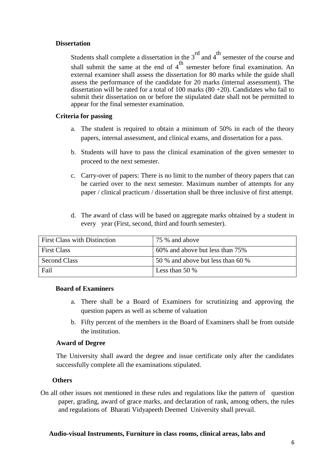#### **Dissertation**

Students shall complete a dissertation in the  $3<sup>rd</sup>$  and  $4<sup>th</sup>$  semester of the course and shall submit the same at the end of  $4<sup>th</sup>$  semester before final examination. An external examiner shall assess the dissertation for 80 marks while the guide shall assess the performance of the candidate for 20 marks (internal assessment). The dissertation will be rated for a total of 100 marks  $(80 + 20)$ . Candidates who fail to submit their dissertation on or before the stipulated date shall not be permitted to appear for the final semester examination.

#### **Criteria for passing**

- a. The student is required to obtain a minimum of 50% in each of the theory papers, internal assessment, and clinical exams, and dissertation for a pass.
- b. Students will have to pass the clinical examination of the given semester to proceed to the next semester.
- c. Carry-over of papers: There is no limit to the number of theory papers that can be carried over to the next semester. Maximum number of attempts for any paper / clinical practicum / dissertation shall be three inclusive of first attempt.
- d. The award of class will be based on aggregate marks obtained by a student in every year (First, second, third and fourth semester).

| <b>First Class with Distinction</b> | 75 % and above                    |
|-------------------------------------|-----------------------------------|
| <b>First Class</b>                  | 60% and above but less than 75%   |
| Second Class                        | 50 % and above but less than 60 % |
| Fail                                | Less than 50 $\%$                 |

#### **Board of Examiners**

- a. There shall be a Board of Examiners for scrutinizing and approving the question papers as well as scheme of valuation
- b. Fifty percent of the members in the Board of Examiners shall be from outside the institution.

#### **Award of Degree**

The University shall award the degree and issue certificate only after the candidates successfully complete all the examinations stipulated.

#### **Others**

On all other issues not mentioned in these rules and regulations like the pattern of question paper, grading, award of grace marks, and declaration of rank, among others, the rules and regulations of Bharati Vidyapeeth Deemed University shall prevail.

### **Audio-visual Instruments, Furniture in class rooms, clinical areas, labs and**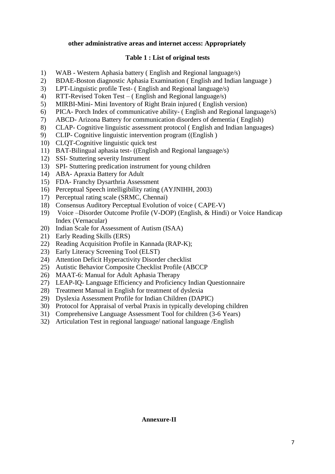## **other administrative areas and internet access: Appropriately**

## **Table 1 : List of original tests**

- 1) WAB Western Aphasia battery ( English and Regional language/s)
- 2) BDAE-Boston diagnostic Aphasia Examination ( English and Indian language )
- 3) LPT-Linguistic profile Test- ( English and Regional language/s)
- 4) RTT-Revised Token Test ( English and Regional language/s)
- 5) MIRBI-Mini- Mini Inventory of Right Brain injured ( English version)
- 6) PICA- Porch Index of communicative ability- ( English and Regional language/s)
- 7) ABCD- Arizona Battery for communication disorders of dementia ( English)
- 8) CLAP- Cognitive linguistic assessment protocol ( English and Indian languages)
- 9) CLIP- Cognitive linguistic intervention program ((English )
- 10) CLQT-Cognitive linguistic quick test
- 11) BAT-Bilingual aphasia test- ((English and Regional language/s)
- 12) SSI- Stuttering severity Instrument
- 13) SPI- Stuttering predication instrument for young children
- 14) ABA- Apraxia Battery for Adult
- 15) FDA- Franchy Dysarthria Assessment
- 16) Perceptual Speech intelligibility rating (AYJNIHH, 2003)
- 17) Perceptual rating scale (SRMC, Chennai)
- 18) Consensus Auditory Perceptual Evolution of voice ( CAPE-V)
- 19) Voice –Disorder Outcome Profile (V-DOP) (English, & Hindi) or Voice Handicap Index (Vernacular)
- 20) Indian Scale for Assessment of Autism (ISAA)
- 21) Early Reading Skills (ERS)
- 22) Reading Acquisition Profile in Kannada (RAP-K);
- 23) Early Literacy Screening Tool (ELST)
- 24) Attention Deficit Hyperactivity Disorder checklist
- 25) Autistic Behavior Composite Checklist Profile (ABCCP
- 26) MAAT-6: Manual for Adult Aphasia Therapy
- 27) LEAP-IQ- Language Efficiency and Proficiency Indian Questionnaire
- 28) Treatment Manual in English for treatment of dyslexia
- 29) Dyslexia Assessment Profile for Indian Children (DAPIC)
- 30) Protocol for Appraisal of verbal Praxis in typically developing children
- 31) Comprehensive Language Assessment Tool for children (3-6 Years)
- 32) Articulation Test in regional language/ national language /English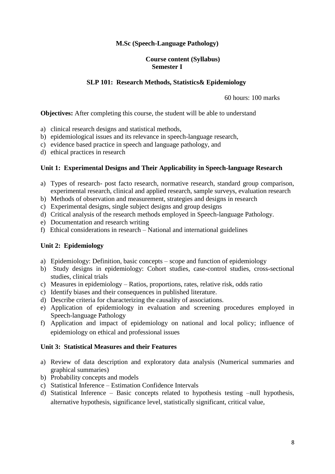## **M.Sc (Speech-Language Pathology)**

### **Course content (Syllabus) Semester I**

#### **SLP 101: Research Methods, Statistics& Epidemiology**

60 hours: 100 marks

**Objectives:** After completing this course, the student will be able to understand

- a) clinical research designs and statistical methods,
- b) epidemiological issues and its relevance in speech-language research,
- c) evidence based practice in speech and language pathology, and
- d) ethical practices in research

#### **Unit 1: Experimental Designs and Their Applicability in Speech-language Research**

- a) Types of research- post facto research, normative research, standard group comparison, experimental research, clinical and applied research, sample surveys, evaluation research
- b) Methods of observation and measurement, strategies and designs in research
- c) Experimental designs, single subject designs and group designs
- d) Critical analysis of the research methods employed in Speech-language Pathology.
- e) Documentation and research writing
- f) Ethical considerations in research National and international guidelines

## **Unit 2: Epidemiology**

- a) Epidemiology: Definition, basic concepts scope and function of epidemiology
- b) Study designs in epidemiology: Cohort studies, case-control studies, cross-sectional studies, clinical trials
- c) Measures in epidemiology Ratios, proportions, rates, relative risk, odds ratio
- c) Identify biases and their consequences in published literature.
- d) Describe criteria for characterizing the causality of associations.
- e) Application of epidemiology in evaluation and screening procedures employed in Speech-language Pathology
- f) Application and impact of epidemiology on national and local policy; influence of epidemiology on ethical and professional issues

#### **Unit 3: Statistical Measures and their Features**

- a) Review of data description and exploratory data analysis (Numerical summaries and graphical summaries)
- b) Probability concepts and models
- c) Statistical Inference Estimation Confidence Intervals
- d) Statistical Inference Basic concepts related to hypothesis testing –null hypothesis, alternative hypothesis, significance level, statistically significant, critical value,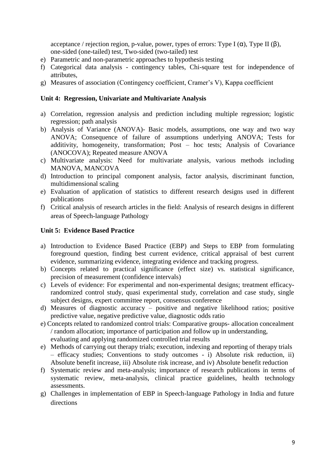acceptance / rejection region, p-value, power, types of errors: Type I  $(\alpha)$ , Type II  $(\beta)$ , one-sided (one-tailed) test, Two-sided (two-tailed) test

- e) Parametric and non-parametric approaches to hypothesis testing
- f) Categorical data analysis contingency tables, Chi-square test for independence of attributes,
- g) Measures of association (Contingency coefficient, Cramer's V), Kappa coefficient

## **Unit 4: Regression, Univariate and Multivariate Analysis**

- a) Correlation, regression analysis and prediction including multiple regression; logistic regression; path analysis
- b) Analysis of Variance (ANOVA)- Basic models, assumptions, one way and two way ANOVA; Consequence of failure of assumptions underlying ANOVA; Tests for additivity, homogeneity, transformation; Post – hoc tests; Analysis of Covariance (ANOCOVA); Repeated measure ANOVA
- c) Multivariate analysis: Need for multivariate analysis, various methods including MANOVA, MANCOVA
- d) Introduction to principal component analysis, factor analysis, discriminant function, multidimensional scaling
- e) Evaluation of application of statistics to different research designs used in different publications
- f) Critical analysis of research articles in the field: Analysis of research designs in different areas of Speech-language Pathology

## **Unit 5: Evidence Based Practice**

- a) Introduction to Evidence Based Practice (EBP) and Steps to EBP from formulating foreground question, finding best current evidence, critical appraisal of best current evidence, summarizing evidence, integrating evidence and tracking progress.
- b) Concepts related to practical significance (effect size) vs. statistical significance, precision of measurement (confidence intervals)
- c) Levels of evidence: For experimental and non-experimental designs; treatment efficacyrandomized control study, quasi experimental study, correlation and case study, single subject designs, expert committee report, consensus conference
- d) Measures of diagnostic accuracy positive and negative likelihood ratios; positive predictive value, negative predictive value, diagnostic odds ratio
- e) Concepts related to randomized control trials: Comparative groups- allocation concealment / random allocation; importance of participation and follow up in understanding, evaluating and applying randomized controlled trial results
- e) Methods of carrying out therapy trials; execution, indexing and reporting of therapy trials – efficacy studies; Conventions to study outcomes - i) Absolute risk reduction, ii) Absolute benefit increase, iii) Absolute risk increase, and iv) Absolute benefit reduction
- f) Systematic review and meta-analysis; importance of research publications in terms of systematic review, meta-analysis, clinical practice guidelines, health technology assessments.
- g) Challenges in implementation of EBP in Speech-language Pathology in India and future directions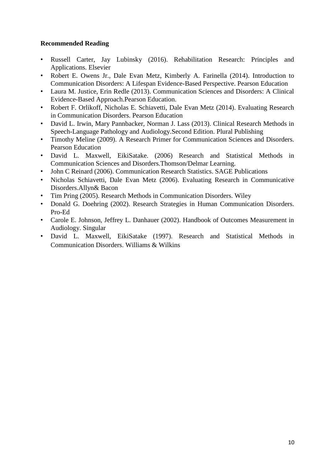- Russell Carter, Jay Lubinsky (2016). Rehabilitation Research: Principles and Applications. Elsevier
- Robert E. Owens Jr., Dale Evan Metz, Kimberly A. Farinella (2014). Introduction to Communication Disorders: A Lifespan Evidence-Based Perspective. Pearson Education
- Laura M. Justice, Erin Redle (2013). Communication Sciences and Disorders: A Clinical Evidence-Based Approach.Pearson Education.
- Robert F. Orlikoff, Nicholas E. Schiavetti, Dale Evan Metz (2014). Evaluating Research in Communication Disorders. Pearson Education
- David L. Irwin, Mary Pannbacker, Norman J. Lass (2013). Clinical Research Methods in Speech-Language Pathology and Audiology.Second Edition. Plural Publishing
- Timothy Meline (2009). A Research Primer for Communication Sciences and Disorders. Pearson Education
- David L. Maxwell, EikiSatake. (2006) Research and Statistical Methods in Communication Sciences and Disorders.Thomson/Delmar Learning.
- John C Reinard (2006). Communication Research Statistics. SAGE Publications
- Nicholas Schiavetti, Dale Evan Metz (2006). Evaluating Research in Communicative Disorders.Allyn& Bacon
- Tim Pring (2005). Research Methods in Communication Disorders. Wiley
- Donald G. Doehring (2002). Research Strategies in Human Communication Disorders. Pro-Ed
- Carole E. Johnson, Jeffrey L. Danhauer (2002). Handbook of Outcomes Measurement in Audiology. Singular
- David L. Maxwell, EikiSatake (1997). Research and Statistical Methods in Communication Disorders. Williams & Wilkins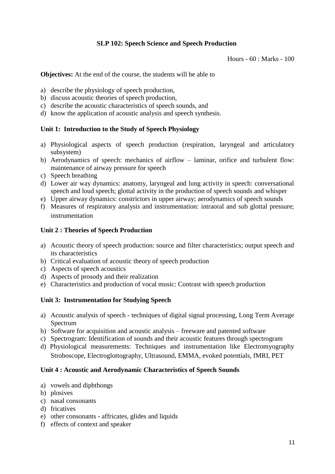# **SLP 102: Speech Science and Speech Production**

Hours - 60 : Marks - 100

**Objectives:** At the end of the course, the students will be able to

- a) describe the physiology of speech production,
- b) discuss acoustic theories of speech production,
- c) describe the acoustic characteristics of speech sounds, and
- d) know the application of acoustic analysis and speech synthesis.

## **Unit 1: Introduction to the Study of Speech Physiology**

- a) Physiological aspects of speech production (respiration, laryngeal and articulatory subsystem)
- b) Aerodynamics of speech: mechanics of airflow laminar, orifice and turbulent flow: maintenance of airway pressure for speech
- c) Speech breathing
- d) Lower air way dynamics: anatomy, laryngeal and lung activity in speech: conversational speech and loud speech; glottal activity in the production of speech sounds and whisper
- e) Upper airway dynamics: constrictors in upper airway; aerodynamics of speech sounds
- f) Measures of respiratory analysis and instrumentation: intraoral and sub glottal pressure; instrumentation

## **Unit 2 : Theories of Speech Production**

- a) Acoustic theory of speech production: source and filter characteristics; output speech and its characteristics
- b) Critical evaluation of acoustic theory of speech production
- c) Aspects of speech acoustics
- d) Aspects of prosody and their realization
- e) Characteristics and production of vocal music: Contrast with speech production

## **Unit 3: Instrumentation for Studying Speech**

- a) Acoustic analysis of speech techniques of digital signal processing, Long Term Average Spectrum
- b) Software for acquisition and acoustic analysis freeware and patented software
- c) Spectrogram: Identification of sounds and their acoustic features through spectrogram
- d) Physiological measurements: Techniques and instrumentation like Electromyography Stroboscope, Electroglottography, Ultrasound, EMMA, evoked potentials, fMRI, PET

#### **Unit 4 : Acoustic and Aerodynamic Characteristics of Speech Sounds**

- a) vowels and diphthongs
- b) plosives
- c) nasal consonants
- d) fricatives
- e) other consonants affricates, glides and liquids
- f) effects of context and speaker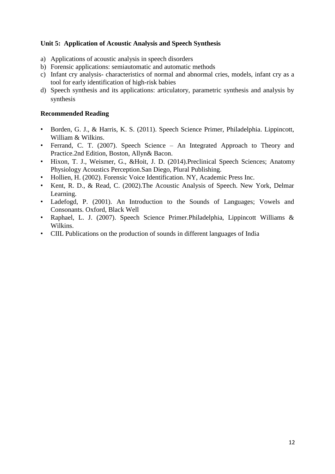# **Unit 5: Application of Acoustic Analysis and Speech Synthesis**

- a) Applications of acoustic analysis in speech disorders
- b) Forensic applications: semiautomatic and automatic methods
- c) Infant cry analysis- characteristics of normal and abnormal cries, models, infant cry as a tool for early identification of high-risk babies
- d) Speech synthesis and its applications: articulatory, parametric synthesis and analysis by synthesis

- Borden, G. J., & Harris, K. S. (2011). Speech Science Primer, Philadelphia. Lippincott, William & Wilkins.
- Ferrand, C. T. (2007). Speech Science An Integrated Approach to Theory and Practice.2nd Edition, Boston, Allyn& Bacon.
- Hixon, T. J., Weismer, G., &Hoit, J. D. (2014).Preclinical Speech Sciences; Anatomy Physiology Acoustics Perception.San Diego, Plural Publishing.
- Hollien, H. (2002). Forensic Voice Identification. NY, Academic Press Inc.
- Kent, R. D., & Read, C. (2002).The Acoustic Analysis of Speech. New York, Delmar Learning.
- Ladefogd, P. (2001). An Introduction to the Sounds of Languages; Vowels and Consonants. Oxford, Black Well
- Raphael, L. J. (2007). Speech Science Primer.Philadelphia, Lippincott Williams & Wilkins.
- CIIL Publications on the production of sounds in different languages of India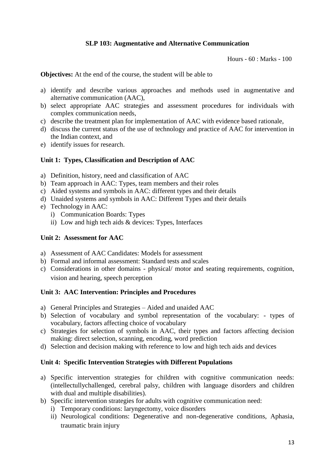# **SLP 103: Augmentative and Alternative Communication**

Hours - 60 : Marks - 100

**Objectives:** At the end of the course, the student will be able to

- a) identify and describe various approaches and methods used in augmentative and alternative communication (AAC),
- b) select appropriate AAC strategies and assessment procedures for individuals with complex communication needs,
- c) describe the treatment plan for implementation of AAC with evidence based rationale,
- d) discuss the current status of the use of technology and practice of AAC for intervention in the Indian context, and
- e) identify issues for research.

#### **Unit 1: Types, Classification and Description of AAC**

- a) Definition, history, need and classification of AAC
- b) Team approach in AAC: Types, team members and their roles
- c) Aided systems and symbols in AAC: different types and their details
- d) Unaided systems and symbols in AAC: Different Types and their details
- e) Technology in AAC:
	- i) Communication Boards: Types
	- ii) Low and high tech aids & devices: Types, Interfaces

#### **Unit 2: Assessment for AAC**

- a) Assessment of AAC Candidates: Models for assessment
- b) Formal and informal assessment: Standard tests and scales
- c) Considerations in other domains physical/ motor and seating requirements, cognition, vision and hearing, speech perception

#### **Unit 3: AAC Intervention: Principles and Procedures**

- a) General Principles and Strategies Aided and unaided AAC
- b) Selection of vocabulary and symbol representation of the vocabulary: types of vocabulary, factors affecting choice of vocabulary
- c) Strategies for selection of symbols in AAC, their types and factors affecting decision making: direct selection, scanning, encoding, word prediction
- d) Selection and decision making with reference to low and high tech aids and devices

#### **Unit 4: Specific Intervention Strategies with Different Populations**

- a) Specific intervention strategies for children with cognitive communication needs: (intellectullychallenged, cerebral palsy, children with language disorders and children with dual and multiple disabilities).
- b) Specific intervention strategies for adults with cognitive communication need:
	- i) Temporary conditions: laryngectomy, voice disorders
	- ii) Neurological conditions: Degenerative and non-degenerative conditions, Aphasia, traumatic brain injury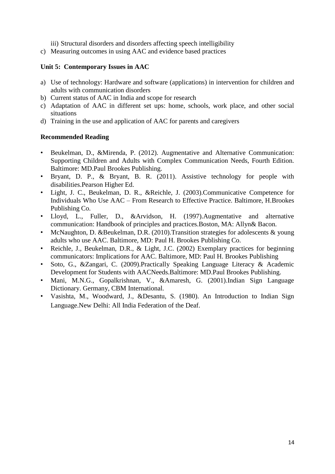iii) Structural disorders and disorders affecting speech intelligibility

c) Measuring outcomes in using AAC and evidence based practices

## **Unit 5: Contemporary Issues in AAC**

- a) Use of technology: Hardware and software (applications) in intervention for children and adults with communication disorders
- b) Current status of AAC in India and scope for research
- c) Adaptation of AAC in different set ups: home, schools, work place, and other social situations
- d) Training in the use and application of AAC for parents and caregivers

- Beukelman, D., &Mirenda, P. (2012). Augmentative and Alternative Communication: Supporting Children and Adults with Complex Communication Needs, Fourth Edition. Baltimore: MD.Paul Brookes Publishing.
- Bryant, D. P., & Bryant, B. R. (2011). Assistive technology for people with disabilities.Pearson Higher Ed.
- Light, J. C., Beukelman, D. R., &Reichle, J. (2003).Communicative Competence for Individuals Who Use AAC – From Research to Effective Practice. Baltimore, H.Brookes Publishing Co.
- Lloyd, L., Fuller, D., &Arvidson, H. (1997).Augmentative and alternative communication: Handbook of principles and practices.Boston, MA: Allyn& Bacon.
- McNaughton, D. &Beukelman, D.R. (2010). Transition strategies for adolescents & young adults who use AAC. Baltimore, MD: Paul H. Brookes Publishing Co.
- Reichle, J., Beukelman, D.R., & Light, J.C. (2002) Exemplary practices for beginning communicators: Implications for AAC. Baltimore, MD: Paul H. Brookes Publishing
- Soto, G., &Zangari, C. (2009).Practically Speaking Language Literacy & Academic Development for Students with AACNeeds.Baltimore: MD.Paul Brookes Publishing.
- Mani, M.N.G., Gopalkrishnan, V., &Amaresh, G. (2001).Indian Sign Language Dictionary. Germany, CBM International.
- Vasishta, M., Woodward, J., &Desantu, S. (1980). An Introduction to Indian Sign Language.New Delhi: All India Federation of the Deaf.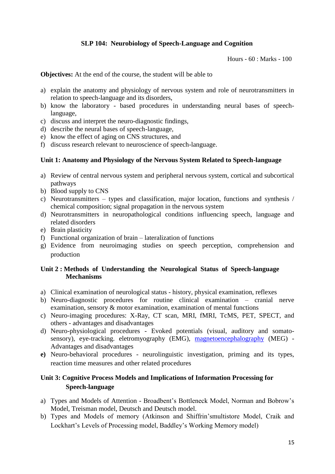# **SLP 104: Neurobiology of Speech-Language and Cognition**

Hours - 60 : Marks - 100

**Objectives:** At the end of the course, the student will be able to

- a) explain the anatomy and physiology of nervous system and role of neurotransmitters in relation to speech-language and its disorders,
- b) know the laboratory based procedures in understanding neural bases of speechlanguage,
- c) discuss and interpret the neuro-diagnostic findings,
- d) describe the neural bases of speech-language,
- e) know the effect of aging on CNS structures, and
- f) discuss research relevant to neuroscience of speech-language.

#### **Unit 1: Anatomy and Physiology of the Nervous System Related to Speech-language**

- a) Review of central nervous system and peripheral nervous system, cortical and subcortical pathways
- b) Blood supply to CNS
- c) Neurotransmitters types and classification, major location, functions and synthesis / chemical composition; signal propagation in the nervous system
- d) Neurotransmitters in neuropathological conditions influencing speech, language and related disorders
- e) Brain plasticity
- f) Functional organization of brain lateralization of functions
- g) Evidence from neuroimaging studies on speech perception, comprehension and production

## **Unit 2 : Methods of Understanding the Neurological Status of Speech-language Mechanisms**

- a) Clinical examination of neurological status history, physical examination, reflexes
- b) Neuro-diagnostic procedures for routine clinical examination cranial nerve examination, sensory & motor examination, examination of mental functions
- c) Neuro-imaging procedures: X-Ray, CT scan, MRI, fMRI, TcMS, PET, SPECT, and others - advantages and disadvantages
- d) Neuro-physiological procedures Evoked potentials (visual, auditory and somatosensory), eye-tracking. eletromyography (EMG), magnetoencephalography (MEG) -Advantages and disadvantages
- **e)** Neuro-behavioral procedures neurolinguistic investigation, priming and its types, reaction time measures and other related procedures

# **Unit 3: Cognitive Process Models and Implications of Information Processing for Speech-language**

- a) Types and Models of Attention Broadbent's Bottleneck Model, Norman and Bobrow's Model, Treisman model, Deutsch and Deutsch model.
- b) Types and Models of memory (Atkinson and Shiffrin'smultistore Model, Craik and Lockhart's Levels of Processing model, Baddley's Working Memory model)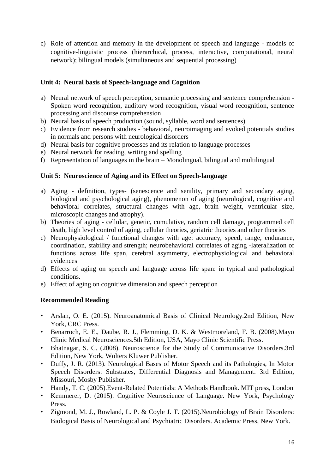c) Role of attention and memory in the development of speech and language - models of cognitive-linguistic process (hierarchical, process, interactive, computational, neural network); bilingual models (simultaneous and sequential processing)

# **Unit 4: Neural basis of Speech-language and Cognition**

- a) Neural network of speech perception, semantic processing and sentence comprehension Spoken word recognition, auditory word recognition, visual word recognition, sentence processing and discourse comprehension
- b) Neural basis of speech production (sound, syllable, word and sentences)
- c) Evidence from research studies behavioral, neuroimaging and evoked potentials studies in normals and persons with neurological disorders
- d) Neural basis for cognitive processes and its relation to language processes
- e) Neural network for reading, writing and spelling
- f) Representation of languages in the brain Monolingual, bilingual and multilingual

## **Unit 5: Neuroscience of Aging and its Effect on Speech-language**

- a) Aging definition, types- (senescence and senility, primary and secondary aging, biological and psychological aging), phenomenon of aging (neurological, cognitive and behavioral correlates, structural changes with age, brain weight, ventricular size, microscopic changes and atrophy).
- b) Theories of aging cellular, genetic, cumulative, random cell damage, programmed cell death, high level control of aging, cellular theories, geriatric theories and other theories
- c) Neurophysiological / functional changes with age: accuracy, speed, range, endurance, coordination, stability and strength; neurobehavioral correlates of aging -lateralization of functions across life span, cerebral asymmetry, electrophysiological and behavioral evidences
- d) Effects of aging on speech and language across life span: in typical and pathological conditions.
- e) Effect of aging on cognitive dimension and speech perception

- Arslan, O. E. (2015). Neuroanatomical Basis of Clinical Neurology.2nd Edition, New York, CRC Press.
- Benarroch, E. E., Daube, R. J., Flemming, D. K. & Westmoreland, F. B. (2008).Mayo Clinic Medical Neurosciences.5th Edition, USA, Mayo Clinic Scientific Press.
- Bhatnagar, S. C. (2008). Neuroscience for the Study of Communicative Disorders.3rd Edition, New York, Wolters Kluwer Publisher.
- Duffy, J. R. (2013). Neurological Bases of Motor Speech and its Pathologies, In Motor Speech Disorders: Substrates, Differential Diagnosis and Management. 3rd Edition, Missouri, Mosby Publisher.
- Handy, T. C. (2005).Event-Related Potentials: A Methods Handbook. MIT press, London
- Kemmerer, D. (2015). Cognitive Neuroscience of Language. New York, Psychology Press.
- Zigmond, M. J., Rowland, L. P. & Coyle J. T. (2015).Neurobiology of Brain Disorders: Biological Basis of Neurological and Psychiatric Disorders. Academic Press, New York.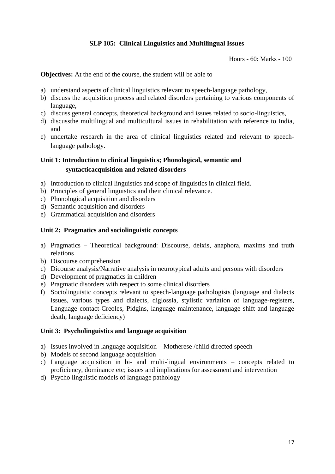# **SLP 105: Clinical Linguistics and Multilingual Issues**

Hours - 60: Marks - 100

**Objectives:** At the end of the course, the student will be able to

- a) understand aspects of clinical linguistics relevant to speech-language pathology,
- b) discuss the acquisition process and related disorders pertaining to various components of language,
- c) discuss general concepts, theoretical background and issues related to socio-linguistics,
- d) discussthe multilingual and multicultural issues in rehabilitation with reference to India, and
- e) undertake research in the area of clinical linguistics related and relevant to speechlanguage pathology.

# **Unit 1: Introduction to clinical linguistics; Phonological, semantic and syntacticacquisition and related disorders**

- a) Introduction to clinical linguistics and scope of linguistics in clinical field.
- b) Principles of general linguistics and their clinical relevance.
- c) Phonological acquisition and disorders
- d) Semantic acquisition and disorders
- e) Grammatical acquisition and disorders

## **Unit 2: Pragmatics and sociolinguistic concepts**

- a) Pragmatics Theoretical background: Discourse, deixis, anaphora, maxims and truth relations
- b) Discourse comprehension
- c) Dicourse analysis/Narrative analysis in neurotypical adults and persons with disorders
- d) Development of pragmatics in children
- e) Pragmatic disorders with respect to some clinical disorders
- f) Sociolinguistic concepts relevant to speech-language pathologists (language and dialects issues, various types and dialects, diglossia, stylistic variation of language-registers, Language contact-Creoles, Pidgins, language maintenance, language shift and language death, language deficiency)

#### **Unit 3: Psycholinguistics and language acquisition**

- a) Issues involved in language acquisition Motherese /child directed speech
- b) Models of second language acquisition
- c) Language acquisition in bi- and multi-lingual environments concepts related to proficiency, dominance etc; issues and implications for assessment and intervention
- d) Psycho linguistic models of language pathology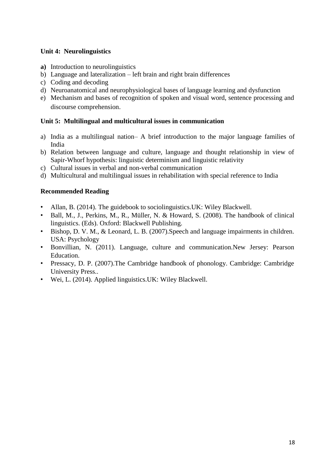# **Unit 4: Neurolinguistics**

- **a)** Introduction to neurolinguistics
- b) Language and lateralization left brain and right brain differences
- c) Coding and decoding
- d) Neuroanatomical and neurophysiological bases of language learning and dysfunction
- e) Mechanism and bases of recognition of spoken and visual word, sentence processing and discourse comprehension.

# **Unit 5: Multilingual and multicultural issues in communication**

- a) India as a multilingual nation– A brief introduction to the major language families of India
- b) Relation between language and culture, language and thought relationship in view of Sapir-Whorf hypothesis: linguistic determinism and linguistic relativity
- c) Cultural issues in verbal and non-verbal communication
- d) Multicultural and multilingual issues in rehabilitation with special reference to India

- Allan, B. (2014). The guidebook to sociolinguistics. UK: Wiley Blackwell.
- Ball, M., J., Perkins, M., R., Müller, N. & Howard, S. (2008). The handbook of clinical linguistics. (Eds). Oxford: Blackwell Publishing.
- Bishop, D. V. M., & Leonard, L. B. (2007).Speech and language impairments in children. USA: Psychology
- Bonvillian, N. (2011). Language, culture and communication.New Jersey: Pearson Education.
- Pressacy, D. P. (2007). The Cambridge handbook of phonology. Cambridge: Cambridge University Press..
- Wei, L. (2014). Applied linguistics.UK: Wiley Blackwell.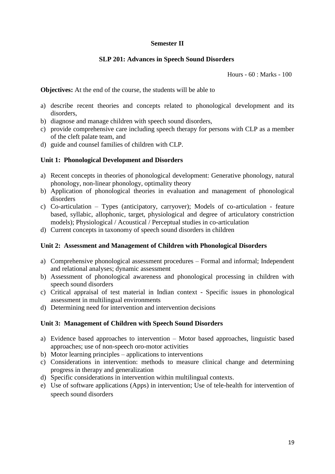## **Semester II**

#### **SLP 201: Advances in Speech Sound Disorders**

Hours - 60 : Marks - 100

**Objectives:** At the end of the course, the students will be able to

- a) describe recent theories and concepts related to phonological development and its disorders,
- b) diagnose and manage children with speech sound disorders,
- c) provide comprehensive care including speech therapy for persons with CLP as a member of the cleft palate team, and
- d) guide and counsel families of children with CLP.

## **Unit 1: Phonological Development and Disorders**

- a) Recent concepts in theories of phonological development: Generative phonology, natural phonology, non-linear phonology, optimality theory
- b) Application of phonological theories in evaluation and management of phonological disorders
- c) Co-articulation Types (anticipatory, carryover); Models of co-articulation feature based, syllabic, allophonic, target, physiological and degree of articulatory constriction models); Physiological / Acoustical / Perceptual studies in co-articulation
- d) Current concepts in taxonomy of speech sound disorders in children

#### **Unit 2: Assessment and Management of Children with Phonological Disorders**

- a) Comprehensive phonological assessment procedures Formal and informal; Independent and relational analyses; dynamic assessment
- b) Assessment of phonological awareness and phonological processing in children with speech sound disorders
- c) Critical appraisal of test material in Indian context Specific issues in phonological assessment in multilingual environments
- d) Determining need for intervention and intervention decisions

#### **Unit 3: Management of Children with Speech Sound Disorders**

- a) Evidence based approaches to intervention Motor based approaches, linguistic based approaches; use of non-speech oro-motor activities
- b) Motor learning principles applications to interventions
- c) Considerations in intervention: methods to measure clinical change and determining progress in therapy and generalization
- d) Specific considerations in intervention within multilingual contexts.
- e) Use of software applications (Apps) in intervention; Use of tele-health for intervention of speech sound disorders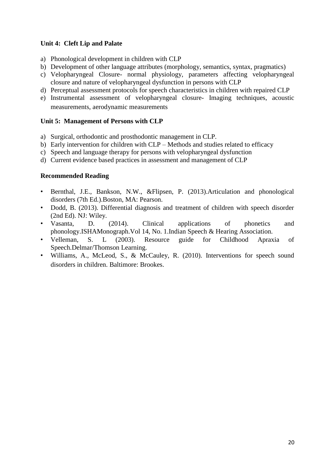# **Unit 4: Cleft Lip and Palate**

- a) Phonological development in children with CLP
- b) Development of other language attributes (morphology, semantics, syntax, pragmatics)
- c) Velopharyngeal Closure- normal physiology, parameters affecting velopharyngeal closure and nature of velopharyngeal dysfunction in persons with CLP
- d) Perceptual assessment protocols for speech characteristics in children with repaired CLP
- e) Instrumental assessment of velopharyngeal closure- Imaging techniques, acoustic measurements, aerodynamic measurements

## **Unit 5: Management of Persons with CLP**

- a) Surgical, orthodontic and prosthodontic management in CLP.
- b) Early intervention for children with CLP Methods and studies related to efficacy
- c) Speech and language therapy for persons with velopharyngeal dysfunction
- d) Current evidence based practices in assessment and management of CLP

- Bernthal, J.E., Bankson, N.W., &Flipsen, P. (2013).Articulation and phonological disorders (7th Ed.).Boston, MA: Pearson.
- Dodd, B. (2013). Differential diagnosis and treatment of children with speech disorder (2nd Ed). NJ: Wiley.
- Vasanta, D. (2014). Clinical applications of phonetics and phonology.ISHAMonograph.Vol 14, No. 1.Indian Speech & Hearing Association.
- Velleman, S. L (2003). Resource guide for Childhood Apraxia of Speech.Delmar/Thomson Learning.
- Williams, A., McLeod, S., & McCauley, R. (2010). Interventions for speech sound disorders in children. Baltimore: Brookes.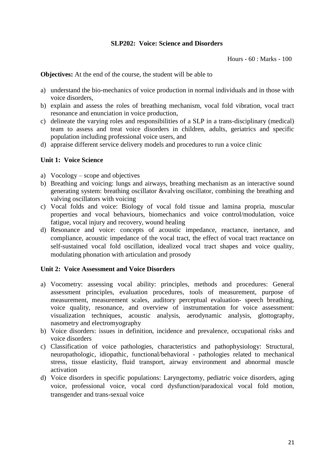## **SLP202: Voice: Science and Disorders**

Hours - 60 : Marks - 100

**Objectives:** At the end of the course, the student will be able to

- a) understand the bio-mechanics of voice production in normal individuals and in those with voice disorders,
- b) explain and assess the roles of breathing mechanism, vocal fold vibration, vocal tract resonance and enunciation in voice production,
- c) delineate the varying roles and responsibilities of a SLP in a trans-disciplinary (medical) team to assess and treat voice disorders in children, adults, geriatrics and specific population including professional voice users, and
- d) appraise different service delivery models and procedures to run a voice clinic

#### **Unit 1: Voice Science**

- a) Vocology scope and objectives
- b) Breathing and voicing: lungs and airways, breathing mechanism as an interactive sound generating system: breathing oscillator &valving oscillator, combining the breathing and valving oscillators with voicing
- c) Vocal folds and voice: Biology of vocal fold tissue and lamina propria, muscular properties and vocal behaviours, biomechanics and voice control/modulation, voice fatigue, vocal injury and recovery, wound healing
- d) Resonance and voice: concepts of acoustic impedance, reactance, inertance, and compliance, acoustic impedance of the vocal tract, the effect of vocal tract reactance on self-sustained vocal fold oscillation, idealized vocal tract shapes and voice quality, modulating phonation with articulation and prosody

#### **Unit 2: Voice Assessment and Voice Disorders**

- a) Vocometry: assessing vocal ability: principles, methods and procedures: General assessment principles, evaluation procedures, tools of measurement, purpose of measurement, measurement scales, auditory perceptual evaluation- speech breathing, voice quality, resonance, and overview of instrumentation for voice assessment: visualization techniques, acoustic analysis, aerodynamic analysis, glottography, nasometry and electromyography
- b) Voice disorders: issues in definition, incidence and prevalence, occupational risks and voice disorders
- c) Classification of voice pathologies, characteristics and pathophysiology: Structural, neuropathologic, idiopathic, functional/behavioral - pathologies related to mechanical stress, tissue elasticity, fluid transport, airway environment and abnormal muscle activation
- d) Voice disorders in specific populations: Laryngectomy, pediatric voice disorders, aging voice, professional voice, vocal cord dysfunction/paradoxical vocal fold motion, transgender and trans-sexual voice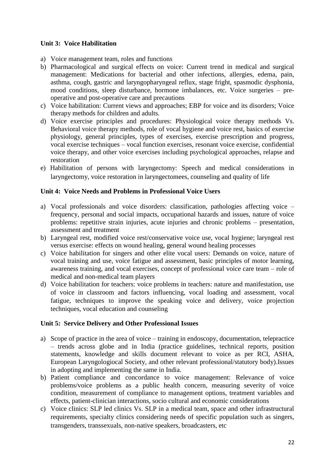## **Unit 3: Voice Habilitation**

- a) Voice management team, roles and functions
- b) Pharmacological and surgical effects on voice: Current trend in medical and surgical management: Medications for bacterial and other infections, allergies, edema, pain, asthma, cough, gastric and laryngopharyngeal reflux, stage fright, spasmodic dysphonia, mood conditions, sleep disturbance, hormone imbalances, etc. Voice surgeries – preoperative and post-operative care and precautions
- c) Voice habilitation: Current views and approaches; EBP for voice and its disorders; Voice therapy methods for children and adults.
- d) Voice exercise principles and procedures: Physiological voice therapy methods Vs. Behavioral voice therapy methods, role of vocal hygiene and voice rest, basics of exercise physiology, general principles, types of exercises, exercise prescription and progress, vocal exercise techniques – vocal function exercises, resonant voice exercise, confidential voice therapy, and other voice exercises including psychological approaches, relapse and restoration
- e) Habilitation of persons with laryngectomy: Speech and medical considerations in laryngectomy, voice restoration in laryngectomees, counseling and quality of life

#### **Unit 4: Voice Needs and Problems in Professional Voice Users**

- a) Vocal professionals and voice disorders: classification, pathologies affecting voice frequency, personal and social impacts, occupational hazards and issues, nature of voice problems: repetitive strain injuries, acute injuries and chronic problems – presentation, assessment and treatment
- b) Laryngeal rest, modified voice rest/conservative voice use, vocal hygiene; laryngeal rest versus exercise: effects on wound healing, general wound healing processes
- c) Voice habilitation for singers and other elite vocal users: Demands on voice, nature of vocal training and use, voice fatigue and assessment, basic principles of motor learning, awareness training, and vocal exercises, concept of professional voice care team – role of medical and non-medical team players
- d) Voice habilitation for teachers: voice problems in teachers: nature and manifestation, use of voice in classroom and factors influencing, vocal loading and assessment, vocal fatigue, techniques to improve the speaking voice and delivery, voice projection techniques, vocal education and counseling

#### **Unit 5: Service Delivery and Other Professional Issues**

- a) Scope of practice in the area of voice training in endoscopy, documentation, telepractice – trends across globe and in India (practice guidelines, technical reports, position statements, knowledge and skills document relevant to voice as per RCI, ASHA, European Laryngologiocal Society, and other relevant professional/statutory body).Issues in adopting and implementing the same in India.
- b) Patient compliance and concordance to voice management: Relevance of voice problems/voice problems as a public health concern, measuring severity of voice condition, measurement of compliance to management options, treatment variables and effects, patient-clinician interactions, socio cultural and economic considerations
- c) Voice clinics: SLP led clinics Vs. SLP in a medical team, space and other infrastructural requirements, specialty clinics considering needs of specific population such as singers, transgenders, transsexuals, non-native speakers, broadcasters, etc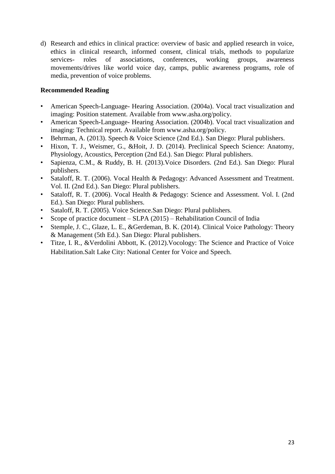d) Research and ethics in clinical practice: overview of basic and applied research in voice, ethics in clinical research, informed consent, clinical trials, methods to popularize services- roles of associations, conferences, working groups, awareness movements/drives like world voice day, camps, public awareness programs, role of media, prevention of voice problems.

- American Speech-Language- Hearing Association. (2004a). Vocal tract visualization and imaging: Position statement. Available from www.asha.org/policy.
- American Speech-Language- Hearing Association. (2004b). Vocal tract visualization and imaging: Technical report. Available from www.asha.org/policy.
- Behrman, A. (2013). Speech & Voice Science (2nd Ed.). San Diego: Plural publishers.
- Hixon, T. J., Weismer, G., &Hoit, J. D. (2014). Preclinical Speech Science: Anatomy, Physiology, Acoustics, Perception (2nd Ed.). San Diego: Plural publishers.
- Sapienza, C.M., & Ruddy, B. H. (2013).Voice Disorders. (2nd Ed.). San Diego: Plural publishers.
- Sataloff, R. T. (2006). Vocal Health & Pedagogy: Advanced Assessment and Treatment. Vol. II. (2nd Ed.). San Diego: Plural publishers.
- Sataloff, R. T. (2006). Vocal Health & Pedagogy: Science and Assessment. Vol. I. (2nd Ed.). San Diego: Plural publishers.
- Sataloff, R. T. (2005). Voice Science.San Diego: Plural publishers.
- Scope of practice document SLPA (2015) Rehabilitation Council of India
- Stemple, J. C., Glaze, L. E., &Gerdeman, B. K. (2014). Clinical Voice Pathology: Theory & Management (5th Ed.). San Diego: Plural publishers.
- Titze, I. R., &Verdolini Abbott, K. (2012).Vocology: The Science and Practice of Voice Habilitation.Salt Lake City: National Center for Voice and Speech.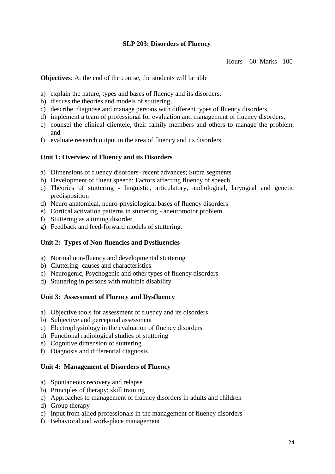## **SLP 203: Disorders of Fluency**

Hours – 60: Marks - 100

**Objectives**: At the end of the course, the students will be able

- a) explain the nature, types and bases of fluency and its disorders,
- b) discuss the theories and models of stuttering,
- c) describe, diagnose and manage persons with different types of fluency disorders,
- d) implement a team of professional for evaluation and management of fluency disorders,
- e) counsel the clinical clientele, their family members and others to manage the problem, and
- f) evaluate research output in the area of fluency and its disorders

#### **Unit 1: Overview of Fluency and its Disorders**

- a) Dimensions of fluency disorders- recent advances; Supra segments
- b) Development of fluent speech: Factors affecting fluency of speech
- c) Theories of stuttering linguistic, articulatory, audiological, laryngeal and genetic predisposition
- d) Neuro anatomical, neuro-physiological bases of fluency disorders
- e) Cortical activation patterns in stuttering aneuromotor problem
- f) Stuttering as a timing disorder
- g) Feedback and feed-forward models of stuttering.

#### **Unit 2: Types of Non-fluencies and Dysfluencies**

- a) Normal non-fluency and developmental stuttering
- b) Cluttering- causes and characteristics
- c) Neurogenic, Psychogenic and other types of fluency disorders
- d) Stuttering in persons with multiple disability

#### **Unit 3: Assessment of Fluency and Dysfluency**

- a) Objective tools for assessment of fluency and its disorders
- b) Subjective and perceptual assessment
- c) Electrophysiology in the evaluation of fluency disorders
- d) Functional radiological studies of stuttering
- e) Cognitive dimension of stuttering
- f) Diagnosis and differential diagnosis

#### **Unit 4: Management of Disorders of Fluency**

- a) Spontaneous recovery and relapse
- b) Principles of therapy; skill training
- c) Approaches to management of fluency disorders in adults and children
- d) Group therapy
- e) Input from allied professionals in the management of fluency disorders
- f) Behavioral and work-place management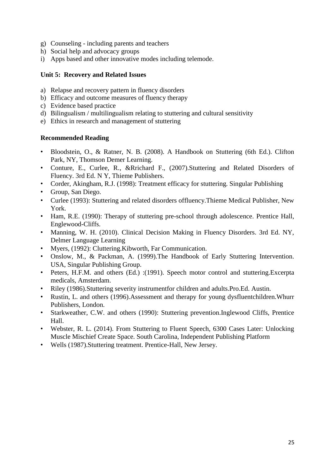- g) Counseling including parents and teachers
- h) Social help and advocacy groups
- i) Apps based and other innovative modes including telemode.

## **Unit 5: Recovery and Related Issues**

- a) Relapse and recovery pattern in fluency disorders
- b) Efficacy and outcome measures of fluency therapy
- c) Evidence based practice
- d) Bilingualism / multilingualism relating to stuttering and cultural sensitivity
- e) Ethics in research and management of stuttering

- Bloodstein, O., & Ratner, N. B. (2008). A Handbook on Stuttering (6th Ed.). Clifton Park, NY, Thomson Demer Learning.
- Conture, E., Curlee, R., &Rrichard F., (2007).Stuttering and Related Disorders of Fluency. 3rd Ed. N Y, Thieme Publishers.
- Corder, Akingham, R.J. (1998): Treatment efficacy for stuttering. Singular Publishing
- Group, San Diego.
- Curlee (1993): Stuttering and related disorders offluency.Thieme Medical Publisher, New York.
- Ham, R.E. (1990): Therapy of stuttering pre-school through adolescence. Prentice Hall, Englewood-Cliffs.
- Manning, W. H. (2010). Clinical Decision Making in Fluency Disorders. 3rd Ed. NY, Delmer Language Learning
- Myers, (1992): Cluttering.Kibworth, Far Communication.
- Onslow, M., & Packman, A. (1999).The Handbook of Early Stuttering Intervention. USA, Singular Publishing Group.
- Peters, H.F.M. and others (Ed.) :(1991). Speech motor control and stuttering.Excerpta medicals, Amsterdam.
- Riley (1986).Stuttering severity instrumentfor children and adults.Pro.Ed. Austin.
- Rustin, L. and others (1996).Assessment and therapy for young dysfluentchildren.Whurr Publishers, London.
- Starkweather, C.W. and others (1990): Stuttering prevention.Inglewood Cliffs, Prentice Hall.
- Webster, R. L. (2014). From Stuttering to Fluent Speech, 6300 Cases Later: Unlocking Muscle Mischief Create Space. South Carolina, Independent Publishing Platform
- Wells (1987).Stuttering treatment. Prentice-Hall, New Jersey.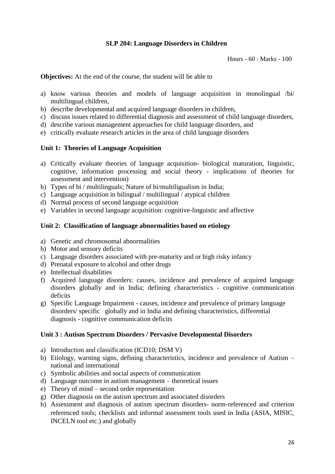# **SLP 204: Language Disorders in Children**

Hours - 60 : Marks - 100

**Objectives:** At the end of the course, the student will be able to

- a) know various theories and models of language acquisition in monolingual /bi/ multilingual children,
- b) describe developmental and acquired language disorders in children,
- c) discuss issues related to differential diagnosis and assessment of child language disorders,
- d) describe various management approaches for child language disorders, and
- e) critically evaluate research articles in the area of child language disorders

#### **Unit 1: Theories of Language Acquisition**

- a) Critically evaluate theories of language acquisition- biological maturation, linguistic, cognitive, information processing and social theory - implications of theories for assessment and intervention)
- b) Types of bi / multilinguals; Nature of bi/multiligualism in India;
- c) Language acquisition in bilingual / multilingual / atypical children
- d) Normal process of second language acquisition
- e) Variables in second language acquisition: cognitive-linguistic and affective

#### **Unit 2: Classification of language abnormalities based on etiology**

- a) Genetic and chromosomal abnormalities
- b) Motor and sensory deficits
- c) Language disorders associated with pre-maturity and or high risky infancy
- d) Prenatal exposure to alcohol and other drugs
- e) Intellectual disabilities
- f) Acquired language disorders: causes, incidence and prevalence of acquired language disorders globally and in India; defining characteristics - cognitive communication deficits
- g) Specific Language Impairment causes, incidence and prevalence of primary language disorders/ specific globally and in India and defining characteristics, differential diagnosis - cognitive communication deficits

## **Unit 3 : Autism Spectrum Disorders / Pervasive Developmental Disorders**

- a) Introduction and classification (ICD10; DSM V)
- b) Etiology, warning signs, defining characteristics, incidence and prevalence of Autism national and international
- c) Symbolic abilities and social aspects of communication
- d) Language outcome in autism management theoretical issues
- e) Theory of mind second order representation
- g) Other diagnosis on the autism spectrum and associated disorders
- h) Assessment and diagnosis of autism spectrum disorders- norm-referenced and criterion referenced tools; checklists and informal assessment tools used in India (ASIA, MISIC, INCELN tool etc.) and globally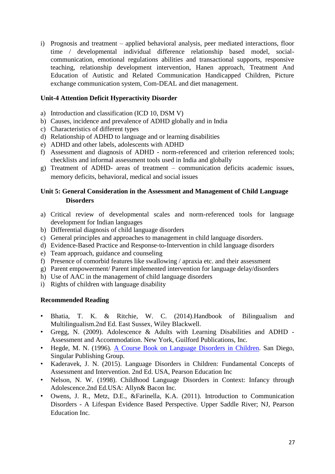i) Prognosis and treatment – applied behavioral analysis, peer mediated interactions, floor time / developmental individual difference relationship based model, socialcommunication, emotional regulations abilities and transactional supports, responsive teaching, relationship development intervention, Hanen approach, Treatment And Education of Autistic and Related Communication Handicapped Children, Picture exchange communication system, Com-DEAL and diet management.

## **Unit-4 Attention Deficit Hyperactivity Disorder**

- a) Introduction and classification (ICD 10, DSM V)
- b) Causes, incidence and prevalence of ADHD globally and in India
- c) Characteristics of different types
- d) Relationship of ADHD to language and or learning disabilities
- e) ADHD and other labels, adolescents with ADHD
- f) Assessment and diagnosis of ADHD norm-referenced and criterion referenced tools; checklists and informal assessment tools used in India and globally
- g) Treatment of ADHD- areas of treatment communication deficits academic issues, memory deficits, behavioral, medical and social issues

# **Unit 5: General Consideration in the Assessment and Management of Child Language Disorders**

- a) Critical review of developmental scales and norm-referenced tools for language development for Indian languages
- b) Differential diagnosis of child language disorders
- c) General principles and approaches to management in child language disorders.
- d) Evidence-Based Practice and Response-to-Intervention in child language disorders
- e) Team approach, guidance and counseling
- f) Presence of comorbid features like swallowing / apraxia etc. and their assessment
- g) Parent empowerment/ Parent implemented intervention for language delay/disorders
- h) Use of AAC in the management of child language disorders
- i) Rights of children with language disability

- Bhatia, T. K. & Ritchie, W. C. (2014).Handbook of Bilingualism and Multilingualism.2nd Ed. East Sussex, Wiley Blackwell.
- Gregg, N. (2009). Adolescence & Adults with Learning Disabilities and ADHD Assessment and Accommodation. New York, Guilford Publications, Inc.
- Hegde, M. N. (1996). A Course Book on Language Disorders in Children. San Diego, Singular Publishing Group.
- Kaderavek, J. N. (2015). Language Disorders in Children: Fundamental Concepts of Assessment and Intervention. 2nd Ed. USA, Pearson Education Inc
- Nelson, N. W. (1998). Childhood Language Disorders in Context: Infancy through Adolescence.2nd Ed.USA: Allyn& Bacon Inc.
- Owens, J. R., Metz, D.E., &Farinella, K.A. (2011). Introduction to Communication Disorders - A Lifespan Evidence Based Perspective. Upper Saddle River; NJ, Pearson Education Inc.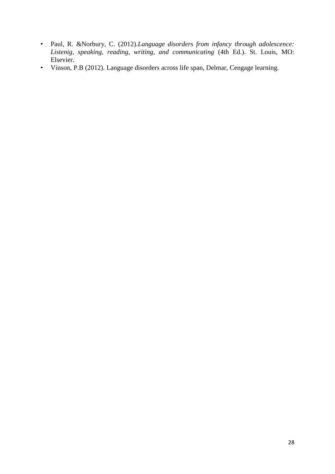- Paul, R. &Norbury, C. (2012).*Language disorders from infancy through adolescence: Listenig, speaking, reading, writing, and communicating* (4th Ed.). St. Louis, MO: Elsevier.
- Vinson, P.B (2012). Language disorders across life span, Delmar, Cengage learning.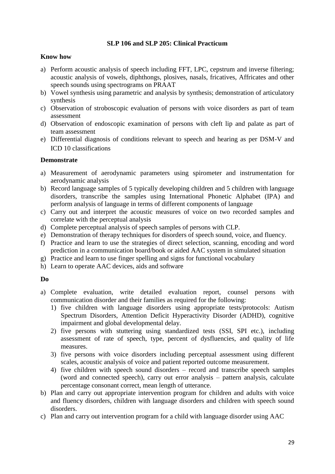## **SLP 106 and SLP 205: Clinical Practicum**

### **Know how**

- a) Perform acoustic analysis of speech including FFT, LPC, cepstrum and inverse filtering; acoustic analysis of vowels, diphthongs, plosives, nasals, fricatives, Affricates and other speech sounds using spectrograms on PRAAT
- b) Vowel synthesis using parametric and analysis by synthesis; demonstration of articulatory synthesis
- c) Observation of stroboscopic evaluation of persons with voice disorders as part of team assessment
- d) Observation of endoscopic examination of persons with cleft lip and palate as part of team assessment
- e) Differential diagnosis of conditions relevant to speech and hearing as per DSM-V and ICD 10 classifications

## **Demonstrate**

- a) Measurement of aerodynamic parameters using spirometer and instrumentation for aerodynamic analysis
- b) Record language samples of 5 typically developing children and 5 children with language disorders, transcribe the samples using International Phonetic Alphabet (IPA) and perform analysis of language in terms of different components of language
- c) Carry out and interpret the acoustic measures of voice on two recorded samples and correlate with the perceptual analysis
- d) Complete perceptual analysis of speech samples of persons with CLP.
- e) Demonstration of therapy techniques for disorders of speech sound, voice, and fluency.
- f) Practice and learn to use the strategies of direct selection, scanning, encoding and word prediction in a communication board/book or aided AAC system in simulated situation
- g) Practice and learn to use finger spelling and signs for functional vocabulary
- h) Learn to operate AAC devices, aids and software

#### **Do**

- a) Complete evaluation, write detailed evaluation report, counsel persons with communication disorder and their families as required for the following:
	- 1) five children with language disorders using appropriate tests/protocols: Autism Spectrum Disorders, Attention Deficit Hyperactivity Disorder (ADHD), cognitive impairment and global developmental delay.
	- 2) five persons with stuttering using standardized tests (SSI, SPI etc.), including assessment of rate of speech, type, percent of dysfluencies, and quality of life measures.
	- 3) five persons with voice disorders including perceptual assessment using different scales, acoustic analysis of voice and patient reported outcome measurement.
	- 4) five children with speech sound disorders record and transcribe speech samples (word and connected speech), carry out error analysis – pattern analysis, calculate percentage consonant correct, mean length of utterance.
- b) Plan and carry out appropriate intervention program for children and adults with voice and fluency disorders, children with language disorders and children with speech sound disorders.
- c) Plan and carry out intervention program for a child with language disorder using AAC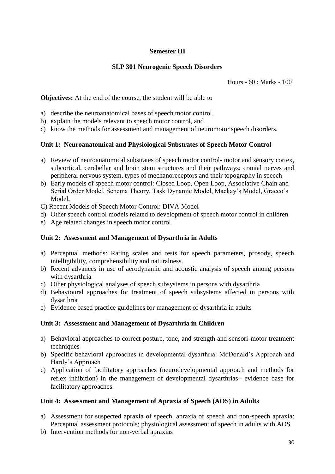# **Semester III**

# **SLP 301 Neurogenic Speech Disorders**

Hours - 60 : Marks - 100

**Objectives:** At the end of the course, the student will be able to

- a) describe the neuroanatomical bases of speech motor control,
- b) explain the models relevant to speech motor control, and
- c) know the methods for assessment and management of neuromotor speech disorders.

## **Unit 1: Neuroanatomical and Physiological Substrates of Speech Motor Control**

- a) Review of neuroanatomical substrates of speech motor control- motor and sensory cortex, subcortical, cerebellar and brain stem structures and their pathways; cranial nerves and peripheral nervous system, types of mechanoreceptors and their topography in speech
- b) Early models of speech motor control: Closed Loop, Open Loop, Associative Chain and Serial Order Model, Schema Theory, Task Dynamic Model, Mackay's Model, Gracco's Model,
- C) Recent Models of Speech Motor Control: DIVA Model
- d) Other speech control models related to development of speech motor control in children
- e) Age related changes in speech motor control

## **Unit 2: Assessment and Management of Dysarthria in Adults**

- a) Perceptual methods: Rating scales and tests for speech parameters, prosody, speech intelligibility, comprehensibility and naturalness.
- b) Recent advances in use of aerodynamic and acoustic analysis of speech among persons with dysarthria
- c) Other physiological analyses of speech subsystems in persons with dysarthria
- d) Behavioural approaches for treatment of speech subsystems affected in persons with dysarthria
- e) Evidence based practice guidelines for management of dysarthria in adults

## **Unit 3: Assessment and Management of Dysarthria in Children**

- a) Behavioral approaches to correct posture, tone, and strength and sensori-motor treatment techniques
- b) Specific behavioral approaches in developmental dysarthria: McDonald's Approach and Hardy's Approach
- c) Application of facilitatory approaches (neurodevelopmental approach and methods for reflex inhibition) in the management of developmental dysarthrias– evidence base for facilitatory approaches

## **Unit 4: Assessment and Management of Apraxia of Speech (AOS) in Adults**

- a) Assessment for suspected apraxia of speech, apraxia of speech and non-speech apraxia: Perceptual assessment protocols; physiological assessment of speech in adults with AOS
- b) Intervention methods for non-verbal apraxias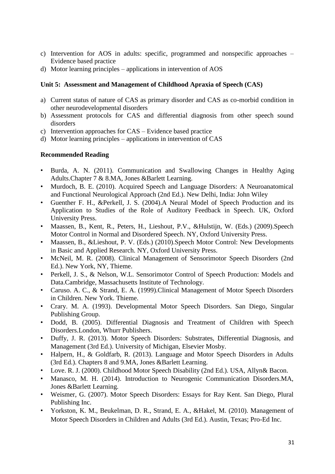- c) Intervention for AOS in adults: specific, programmed and nonspecific approaches Evidence based practice
- d) Motor learning principles applications in intervention of AOS

## **Unit 5: Assessment and Management of Childhood Apraxia of Speech (CAS)**

- a) Current status of nature of CAS as primary disorder and CAS as co-morbid condition in other neurodevelopmental disorders
- b) Assessment protocols for CAS and differential diagnosis from other speech sound disorders
- c) Intervention approaches for CAS Evidence based practice
- d) Motor learning principles applications in intervention of CAS

- Burda, A. N. (2011). Communication and Swallowing Changes in Healthy Aging Adults.Chapter 7 & 8.MA, Jones &Barlett Learning.
- Murdoch, B. E. (2010). Acquired Speech and Language Disorders: A Neuroanatomical and Functional Neurological Approach (2nd Ed.). New Delhi, India: John Wiley
- Guenther F. H., &Perkell, J. S. (2004).A Neural Model of Speech Production and its Application to Studies of the Role of Auditory Feedback in Speech. UK, Oxford University Press.
- Maassen, B., Kent, R., Peters, H., Lieshout, P.V., &Hulstijn, W. (Eds.) (2009).Speech Motor Control in Normal and Disordered Speech. NY, Oxford University Press.
- Maassen, B., &Lieshout, P. V. (Eds.) (2010).Speech Motor Control: New Developments in Basic and Applied Research. NY, Oxford University Press.
- McNeil, M. R. (2008). Clinical Management of Sensorimotor Speech Disorders (2nd Ed.). New York, NY, Thieme.
- Perkell, J. S., & Nelson, W.L. Sensorimotor Control of Speech Production: Models and Data.Cambridge, Massachusetts Institute of Technology.
- Caruso. A. C., & Strand, E. A. (1999).Clinical Management of Motor Speech Disorders in Children. New York. Thieme.
- Crary. M. A. (1993). Developmental Motor Speech Disorders. San Diego, Singular Publishing Group.
- Dodd, B. (2005). Differential Diagnosis and Treatment of Children with Speech Disorders.London, Whurr Publishers.
- Duffy, J. R. (2013). Motor Speech Disorders: Substrates, Differential Diagnosis, and Management (3rd Ed.). University of Michigan, Elsevier Mosby.
- Halpern, H., & Goldfarb, R. (2013). Language and Motor Speech Disorders in Adults (3rd Ed.). Chapters 8 and 9.MA, Jones &Barlett Learning.
- Love. R. J. (2000). Childhood Motor Speech Disability (2nd Ed.). USA, Allyn& Bacon.
- Manasco, M. H. (2014). Introduction to Neurogenic Communication Disorders.MA, Jones &Barlett Learning.
- Weismer, G. (2007). Motor Speech Disorders: Essays for Ray Kent. San Diego, Plural Publishing Inc.
- Yorkston, K. M., Beukelman, D. R., Strand, E. A., &Hakel, M. (2010). Management of Motor Speech Disorders in Children and Adults (3rd Ed.). Austin, Texas; Pro-Ed Inc.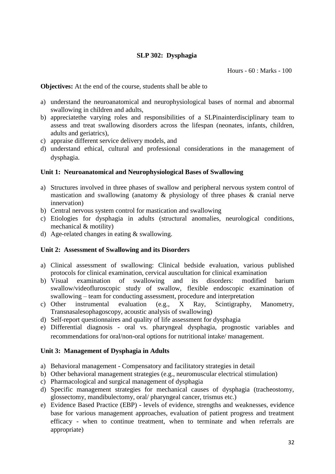# **SLP 302: Dysphagia**

Hours - 60 : Marks - 100

**Objectives:** At the end of the course, students shall be able to

- a) understand the neuroanatomical and neurophysiological bases of normal and abnormal swallowing in children and adults,
- b) appreciatethe varying roles and responsibilities of a SLPinainterdisciplinary team to assess and treat swallowing disorders across the lifespan (neonates, infants, children, adults and geriatrics),
- c) appraise different service delivery models, and
- d) understand ethical, cultural and professional considerations in the management of dysphagia.

## **Unit 1: Neuroanatomical and Neurophysiological Bases of Swallowing**

- a) Structures involved in three phases of swallow and peripheral nervous system control of mastication and swallowing (anatomy & physiology of three phases & cranial nerve innervation)
- b) Central nervous system control for mastication and swallowing
- c) Etiologies for dysphagia in adults (structural anomalies, neurological conditions, mechanical & motility)
- d) Age-related changes in eating & swallowing.

#### **Unit 2: Assessment of Swallowing and its Disorders**

- a) Clinical assessment of swallowing: Clinical bedside evaluation, various published protocols for clinical examination, cervical auscultation for clinical examination
- b) Visual examination of swallowing and its disorders: modified barium swallow/videofluroscopic study of swallow, flexible endoscopic examination of swallowing – team for conducting assessment, procedure and interpretation
- c) Other instrumental evaluation (e.g., X Ray, Scintigraphy, Manometry, Transnasalesophagoscopy, acoustic analysis of swallowing)
- d) Self-report questionnaires and quality of life assessment for dysphagia
- e) Differential diagnosis oral vs. pharyngeal dysphagia, prognostic variables and recommendations for oral/non-oral options for nutritional intake/ management.

## **Unit 3: Management of Dysphagia in Adults**

- a) Behavioral management Compensatory and facilitatory strategies in detail
- b) Other behavioral management strategies (e.g., neuromuscular electrical stimulation)
- c) Pharmacological and surgical management of dysphagia
- d) Specific management strategies for mechanical causes of dysphagia (tracheostomy, glossectomy, mandibulectomy, oral/ pharyngeal cancer, trismus etc.)
- e) Evidence Based Practice (EBP) levels of evidence, strengths and weaknesses, evidence base for various management approaches, evaluation of patient progress and treatment efficacy - when to continue treatment, when to terminate and when referrals are appropriate)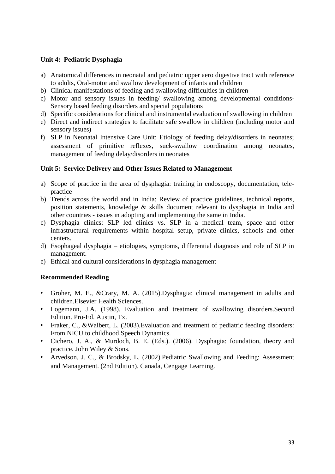## **Unit 4: Pediatric Dysphagia**

- a) Anatomical differences in neonatal and pediatric upper aero digestive tract with reference to adults, Oral-motor and swallow development of infants and children
- b) Clinical manifestations of feeding and swallowing difficulties in children
- c) Motor and sensory issues in feeding/ swallowing among developmental conditions-Sensory based feeding disorders and special populations
- d) Specific considerations for clinical and instrumental evaluation of swallowing in children
- e) Direct and indirect strategies to facilitate safe swallow in children (including motor and sensory issues)
- f) SLP in Neonatal Intensive Care Unit: Etiology of feeding delay/disorders in neonates; assessment of primitive reflexes, suck-swallow coordination among neonates, management of feeding delay/disorders in neonates

## **Unit 5: Service Delivery and Other Issues Related to Management**

- a) Scope of practice in the area of dysphagia: training in endoscopy, documentation, telepractice
- b) Trends across the world and in India: Review of practice guidelines, technical reports, position statements, knowledge & skills document relevant to dysphagia in India and other countries - issues in adopting and implementing the same in India.
- c) Dysphagia clinics: SLP led clinics vs. SLP in a medical team, space and other infrastructural requirements within hospital setup, private clinics, schools and other centers.
- d) Esophageal dysphagia etiologies, symptoms, differential diagnosis and role of SLP in management.
- e) Ethical and cultural considerations in dysphagia management

- Groher, M. E., &Crary, M. A. (2015).Dysphagia: clinical management in adults and children.Elsevier Health Sciences.
- Logemann, J.A. (1998). Evaluation and treatment of swallowing disorders.Second Edition. Pro-Ed. Austin, Tx.
- Fraker, C., &Walbert, L. (2003).Evaluation and treatment of pediatric feeding disorders: From NICU to childhood.Speech Dynamics.
- Cichero, J. A., & Murdoch, B. E. (Eds.). (2006). Dysphagia: foundation, theory and practice. John Wiley & Sons.
- Arvedson, J. C., & Brodsky, L. (2002).Pediatric Swallowing and Feeding: Assessment and Management. (2nd Edition). Canada, Cengage Learning.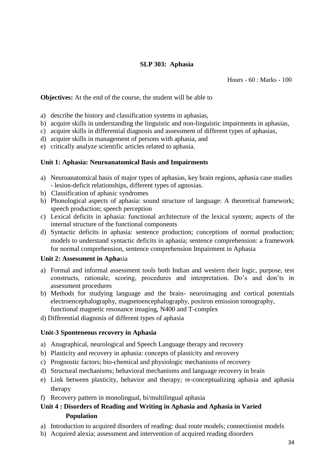## **SLP 303: Aphasia**

Hours - 60 : Marks - 100

**Objectives:** At the end of the course, the student will be able to

- a) describe the history and classification systems in aphasias,
- b) acquire skills in understanding the linguistic and non-linguistic impairments in aphasias,
- c) acquire skills in differential diagnosis and assessment of different types of aphasias,
- d) acquire skills in management of persons with aphasia, and
- e) critically analyze scientific articles related to aphasia.

## **Unit 1: Aphasia: Neuroanatomical Basis and Impairments**

- a) Neuroanatomical basis of major types of aphasias, key brain regions, aphasia case studies - lesion-deficit relationships, different types of agnosias.
- b) Classification of aphasic syndromes
- b) Phonological aspects of aphasia: sound structure of language: A theoretical framework; speech production; speech perception
- c) Lexical deficits in aphasia: functional architecture of the lexical system; aspects of the internal structure of the functional components
- d) Syntactic deficits in aphasia: sentence production; conceptions of normal production; models to understand syntactic deficits in aphasia; sentence comprehension: a framework for normal comprehension, sentence comprehension Impairment in Aphasia

#### **Unit 2: Assessment in Apha**sia

- a) Formal and informal assessment tools both Indian and western their logic, purpose, test constructs, rationale, scoring, procedures and interpretation. Do's and don'ts in assessment procedures
- b) Methods for studying language and the brain- neuroimaging and cortical potentials electroencephalography, magnetoencephalography, positron emission tomography, functional magnetic resonance imaging, N400 and T-complex
- d) Differential diagnosis of different types of aphasia

## **Unit-3 Sponteneous recovery in Aphasia**

- a) Anagraphical, neurological and Speech Language therapy and recovery
- b) Plasticity and recovery in aphasia: concepts of plasticity and recovery
- c) Prognostic factors; bio-chemical and physiologic mechanisms of recovery
- d) Structural mechanisms; behavioral mechanisms and language recovery in brain
- e) Link between plasticity, behavior and therapy; re-conceptualizing aphasia and aphasia therapy
- f) Recovery pattern in monolingual, bi/multilingual aphasia

# **Unit 4 : Disorders of Reading and Writing in Aphasia and Aphasia in Varied Population**

- a) Introduction to acquired disorders of reading: dual route models; connectionist models
- b) Acquired alexia; assessment and intervention of acquired reading disorders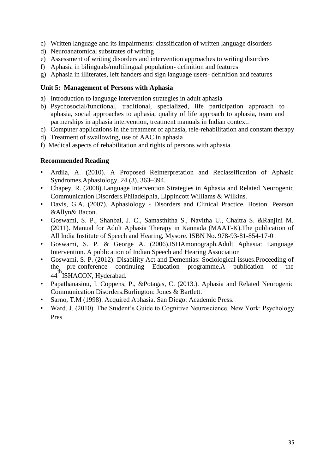- c) Written language and its impairments: classification of written language disorders
- d) Neuroanatomical substrates of writing
- e) Assessment of writing disorders and intervention approaches to writing disorders
- f) Aphasia in bilinguals/multilingual population- definition and features
- g) Aphasia in illiterates, left handers and sign language users- definition and features

## **Unit 5: Management of Persons with Aphasia**

- a) Introduction to language intervention strategies in adult aphasia
- b) Psychosocial/functional, traditional, specialized, life participation approach to aphasia, social approaches to aphasia, quality of life approach to aphasia, team and partnerships in aphasia intervention, treatment manuals in Indian context.
- c) Computer applications in the treatment of aphasia, tele-rehabilitation and constant therapy
- d) Treatment of swallowing, use of AAC in aphasia
- f) Medical aspects of rehabilitation and rights of persons with aphasia

- Ardila, A. (2010). A Proposed Reinterpretation and Reclassification of Aphasic Syndromes.Aphasiology, 24 (3), 363–394.
- Chapey, R. (2008).Language Intervention Strategies in Aphasia and Related Neurogenic Communication Disorders.Philadelphia, Lippincott Williams & Wilkins.
- Davis, G.A. (2007). Aphasiology Disorders and Clinical Practice. Boston. Pearson &Allyn& Bacon.
- Goswami, S. P., Shanbal, J. C., Samasthitha S., Navitha U., Chaitra S. &Ranjini M. (2011). Manual for Adult Aphasia Therapy in Kannada (MAAT-K).The publication of All India Institute of Speech and Hearing, Mysore. ISBN No. 978-93-81-854-17-0
- Goswami, S. P. & George A. (2006).ISHAmonograph.Adult Aphasia: Language Intervention. A publication of Indian Speech and Hearing Association
- Goswami, S. P. (2012). Disability Act and Dementias: Sociological issues.Proceeding of the pre-conference continuing Education programme.A publication of the 44<sup>th</sup>ISHACON, Hyderabad.
- Papathanasiou, I. Coppens, P., &Potagas, C. (2013.). Aphasia and Related Neurogenic Communication Disorders.Burlington: Jones & Bartlett.
- Sarno, T.M (1998). Acquired Aphasia. San Diego: Academic Press.
- Ward, J. (2010). The Student's Guide to Cognitive Neuroscience. New York: Psychology Pres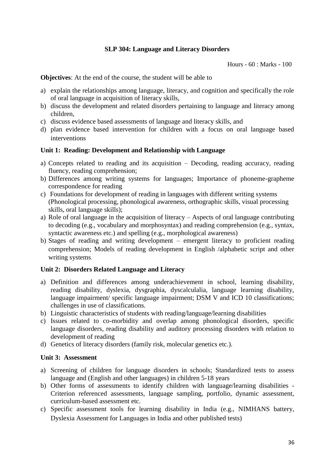#### **SLP 304: Language and Literacy Disorders**

Hours - 60 : Marks - 100

**Objectives**: At the end of the course, the student will be able to

- a) explain the relationships among language, literacy, and cognition and specifically the role of oral language in acquisition of literacy skills,
- b) discuss the development and related disorders pertaining to language and literacy among children,
- c) discuss evidence based assessments of language and literacy skills, and
- d) plan evidence based intervention for children with a focus on oral language based interventions

#### **Unit 1: Reading: Development and Relationship with Language**

- a) Concepts related to reading and its acquisition Decoding, reading accuracy, reading fluency, reading comprehension;
- b) Differences among writing systems for languages; Importance of phoneme-grapheme correspondence for reading
- c) Foundations for development of reading in languages with different writing systems (Phonological processing, phonological awareness, orthographic skills, visual processing skills, oral language skills);
- a) Role of oral language in the acquisition of literacy Aspects of oral language contributing to decoding (e.g., vocabulary and morphosyntax) and reading comprehension (e.g., syntax, syntactic awareness etc.) and spelling (e.g., morphological awareness)
- b) Stages of reading and writing development emergent literacy to proficient reading comprehension; Models of reading development in English /alphabetic script and other writing systems.

#### **Unit 2: Disorders Related Language and Literacy**

- a) Definition and differences among underachievement in school, learning disability, reading disability, dyslexia, dysgraphia, dyscalculalia, language learning disability, language impairment/ specific language impairment; DSM V and ICD 10 classifications; challenges in use of classifications.
- b) Linguistic characteristics of students with reading/language/learning disabilities
- c) Issues related to co-morbidity and overlap among phonological disorders, specific language disorders, reading disability and auditory processing disorders with relation to development of reading
- d) Genetics of literacy disorders (family risk, molecular genetics etc.).

#### **Unit 3: Assessment**

- a) Screening of children for language disorders in schools; Standardized tests to assess language and (English and other languages) in children 5-18 years
- b) Other forms of assessments to identify children with language/learning disabilities Criterion referenced assessments, language sampling, portfolio, dynamic assessment, curriculum-based assessment etc.
- c) Specific assessment tools for learning disability in India (e.g., NIMHANS battery, Dyslexia Assessment for Languages in India and other published tests)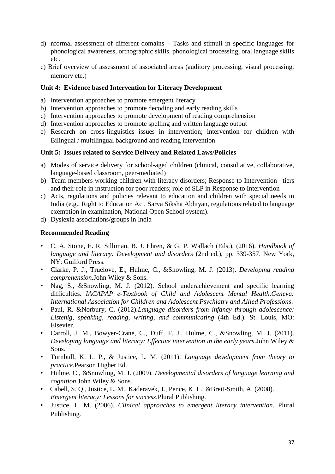- d) nformal assessment of different domains Tasks and stimuli in specific languages for phonological awareness, orthographic skills, phonological processing, oral language skills etc.
- e) Brief overview of assessment of associated areas (auditory processing, visual processing, memory etc.)

## **Unit 4: Evidence based Intervention for Literacy Development**

- a) Intervention approaches to promote emergent literacy
- b) Intervention approaches to promote decoding and early reading skills
- c) Intervention approaches to promote development of reading comprehension
- d) Intervention approaches to promote spelling and written language output
- e) Research on cross-linguistics issues in intervention; intervention for children with Bilingual / multilingual background and reading intervention

## **Unit 5: Issues related to Service Delivery and Related Laws/Policies**

- a) Modes of service delivery for school-aged children (clinical, consultative, collaborative, language-based classroom, peer-mediated)
- b) Team members working children with literacy disorders; Response to Intervention– tiers and their role in instruction for poor readers; role of SLP in Response to Intervention
- c) Acts, regulations and policies relevant to education and children with special needs in India (e.g., Right to Education Act, Sarva Siksha Abhiyan, regulations related to language exemption in examination, National Open School system).
- d) Dyslexia associations/groups in India

- C. A. Stone, E. R. Silliman, B. J. Ehren, & G. P. Wallach (Eds.), (2016). *Handbook of language and literacy: Development and disorders* (2nd ed.), pp. 339-357. New York, NY: Guilford Press.
- Clarke, P. J., Truelove, E., Hulme, C., &Snowling, M. J. (2013). *Developing reading comprehension*.John Wiley & Sons.
- Nag, S., &Snowling, M. J. (2012). School underachievement and specific learning difficulties. *IACAPAP e-Textbook of Child and Adolescent Mental Health.Geneva: International Association for Children and Adolescent Psychiatry and Allied Professions*.
- Paul, R. &Norbury, C. (2012).*Language disorders from infancy through adolescence: Listenig, speaking, reading, writing, and communicating* (4th Ed.). St. Louis, MO: Elsevier.
- Carroll, J. M., Bowyer-Crane, C., Duff, F. J., Hulme, C., &Snowling, M. J. (2011). *Developing language and literacy: Effective intervention in the early years*.John Wiley & Sons.
- Turnbull, K. L. P., & Justice, L. M. (2011). *Language development from theory to practice*.Pearson Higher Ed.
- Hulme, C., &Snowling, M. J. (2009). *Developmental disorders of language learning and cognition*.John Wiley & Sons.
- Cabell, S. Q., Justice, L. M., Kaderavek, J., Pence, K. L., &Breit-Smith, A. (2008). *Emergent literacy: Lessons for success*.Plural Publishing.
- Justice, L. M. (2006). *Clinical approaches to emergent literacy intervention*. Plural Publishing.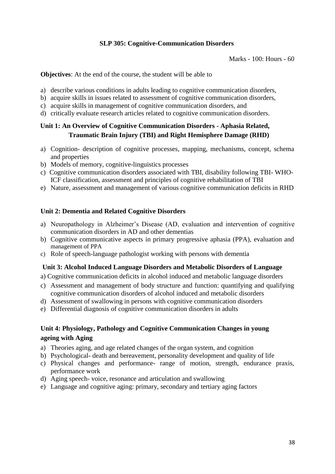## **SLP 305: Cognitive-Communication Disorders**

Marks - 100: Hours - 60

**Objectives**: At the end of the course, the student will be able to

- a) describe various conditions in adults leading to cognitive communication disorders,
- b) acquire skills in issues related to assessment of cognitive communication disorders,
- c) acquire skills in management of cognitive communication disorders, and
- d) critically evaluate research articles related to cognitive communication disorders.

# **Unit 1: An Overview of Cognitive Communication Disorders - Aphasia Related, Traumatic Brain Injury (TBI) and Right Hemisphere Damage (RHD)**

- a) Cognition- description of cognitive processes, mapping, mechanisms, concept, schema and properties
- b) Models of memory, cognitive-linguistics processes
- c) Cognitive communication disorders associated with TBI, disability following TBI- WHO-ICF classification, assessment and principles of cognitive rehabilitation of TBI
- e) Nature, assessment and management of various cognitive communication deficits in RHD

## **Unit 2: Dementia and Related Cognitive Disorders**

- a) Neuropathology in Alzheimer's Disease (AD, evaluation and intervention of cognitive communication disorders in AD and other dementias
- b) Cognitive communicative aspects in primary progressive aphasia (PPA), evaluation and management of PPA
- c) Role of speech-language pathologist working with persons with dementia

#### **Unit 3: Alcohol Induced Language Disorders and Metabolic Disorders of Language**

a) Cognitive communication deficits in alcohol induced and metabolic language disorders

- c) Assessment and management of body structure and function: quantifying and qualifying cognitive communication disorders of alcohol induced and metabolic disorders
- d) Assessment of swallowing in persons with cognitive communication disorders
- e) Differential diagnosis of cognitive communication disorders in adults

# **Unit 4: Physiology, Pathology and Cognitive Communication Changes in young ageing with Aging**

- a) Theories aging, and age related changes of the organ system, and cognition
- b) Psychological- death and bereavement, personality development and quality of life
- c) Physical changes and performance- range of motion, strength, endurance praxis, performance work
- d) Aging speech- voice, resonance and articulation and swallowing
- e) Language and cognitive aging: primary, secondary and tertiary aging factors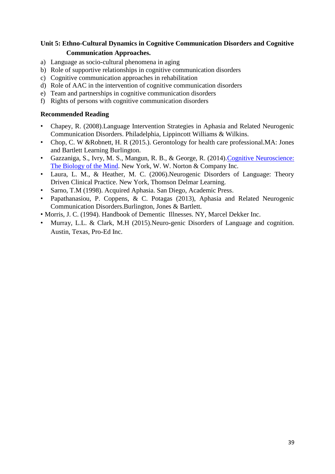# **Unit 5: Ethno-Cultural Dynamics in Cognitive Communication Disorders and Cognitive Communication Approaches.**

- a) Language as socio-cultural phenomena in aging
- b) Role of supportive relationships in cognitive communication disorders
- c) Cognitive communication approaches in rehabilitation
- d) Role of AAC in the intervention of cognitive communication disorders
- e) Team and partnerships in cognitive communication disorders
- f) Rights of persons with cognitive communication disorders

- Chapey, R. (2008).Language Intervention Strategies in Aphasia and Related Neurogenic Communication Disorders. Philadelphia, Lippincott Williams & Wilkins.
- Chop, C. W &Robnett, H. R (2015.). Gerontology for health care professional.MA: Jones and Bartlett Learning Burlington.
- Gazzaniga, S., Ivry, M. S., Mangun, R. B., & George, R. (2014).Cognitive Neuroscience: The Biology of the Mind. New York, W. W. Norton & Company Inc.
- Laura, L. M., & Heather, M. C. (2006).Neurogenic Disorders of Language: Theory Driven Clinical Practice. New York, Thomson Delmar Learning.
- Sarno, T.M (1998). Acquired Aphasia. San Diego, Academic Press.
- Papathanasiou, P. Coppens, & C. Potagas (2013), Aphasia and Related Neurogenic Communication Disorders.Burlington, Jones & Bartlett.
- Morris, J. C. (1994). Handbook of Dementic Illnesses. NY, Marcel Dekker Inc.
- Murray, L.L. & Clark, M.H (2015).Neuro-genic Disorders of Language and cognition. Austin, Texas, Pro-Ed Inc.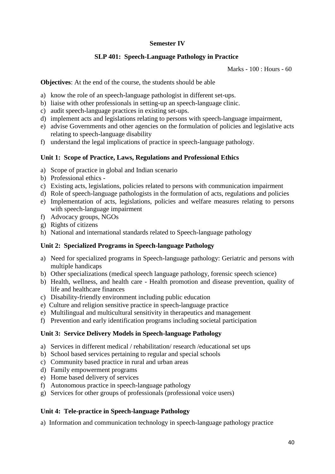# **Semester IV**

# **SLP 401: Speech-Language Pathology in Practice**

Marks - 100 : Hours - 60

**Objectives**: At the end of the course, the students should be able

- a) know the role of an speech-language pathologist in different set-ups.
- b) liaise with other professionals in setting-up an speech-language clinic.
- c) audit speech-language practices in existing set-ups.
- d) implement acts and legislations relating to persons with speech-language impairment,
- e) advise Governments and other agencies on the formulation of policies and legislative acts relating to speech-language disability
- f) understand the legal implications of practice in speech-language pathology.

## **Unit 1: Scope of Practice, Laws, Regulations and Professional Ethics**

- a) Scope of practice in global and Indian scenario
- b) Professional ethics -
- c) Existing acts, legislations, policies related to persons with communication impairment
- d) Role of speech-language pathologists in the formulation of acts, regulations and policies
- e) Implementation of acts, legislations, policies and welfare measures relating to persons with speech-language impairment
- f) Advocacy groups, NGOs
- g) Rights of citizens
- h) National and international standards related to Speech-language pathology

## **Unit 2: Specialized Programs in Speech-language Pathology**

- a) Need for specialized programs in Speech-language pathology: Geriatric and persons with multiple handicaps
- b) Other specializations (medical speech language pathology, forensic speech science)
- b) Health, wellness, and health care Health promotion and disease prevention, quality of life and healthcare finances
- c) Disability-friendly environment including public education
- e) Culture and religion sensitive practice in speech-language practice
- e) Multilingual and multicultural sensitivity in therapeutics and management
- f) Prevention and early identification programs including societal participation

## **Unit 3: Service Delivery Models in Speech-language Pathology**

- a) Services in different medical / rehabilitation/ research /educational set ups
- b) School based services pertaining to regular and special schools
- c) Community based practice in rural and urban areas
- d) Family empowerment programs
- e) Home based delivery of services
- f) Autonomous practice in speech-language pathology
- g) Services for other groups of professionals (professional voice users)

## **Unit 4: Tele-practice in Speech-language Pathology**

a) Information and communication technology in speech-language pathology practice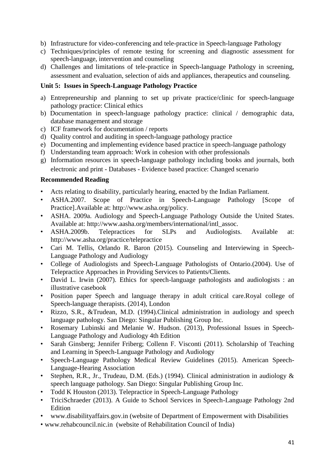- b) Infrastructure for video-conferencing and tele-practice in Speech-language Pathology
- c) Techniques/principles of remote testing for screening and diagnostic assessment for speech-language, intervention and counseling
- d) Challenges and limitations of tele-practice in Speech-language Pathology in screening, assessment and evaluation, selection of aids and appliances, therapeutics and counseling.

## **Unit 5: Issues in Speech-Language Pathology Practice**

- a) Entrepreneurship and planning to set up private practice/clinic for speech-language pathology practice: Clinical ethics
- b) Documentation in speech-language pathology practice: clinical / demographic data, database management and storage
- c) ICF framework for documentation / reports
- d) Quality control and auditing in speech-language pathology practice
- e) Documenting and implementing evidence based practice in speech-language pathology
- f) Understanding team approach: Work in cohesion with other professionals
- g) Information resources in speech-language pathology including books and journals, both electronic and print - Databases - Evidence based practice: Changed scenario

- Acts relating to disability, particularly hearing, enacted by the Indian Parliament.
- ASHA.2007. Scope of Practice in Speech-Language Pathology [Scope of Practice].Available at: http://www.asha.org/policy.
- ASHA. 2009a. Audiology and Speech-Language Pathology Outside the United States. Available at: http://www.aasha.org/members/international/intl\_assoc.
- ASHA.2009b. Telepractices for SLPs and Audiologists. Available at: http://www.asha.org/practice/telepractice
- Cari M. Tellis, Orlando R. Baron (2015). Counseling and Interviewing in Speech-Language Pathology and Audiology
- College of Audiologists and Speech-Language Pathologists of Ontario.(2004). Use of Telepractice Approaches in Providing Services to Patients/Clients.
- David L. Irwin (2007). Ethics for speech-language pathologists and audiologists : an illustrative casebook
- Position paper Speech and language therapy in adult critical care.Royal college of Speech-language therapists. (2014), London
- Rizzo, S.R., &Trudean, M.D. (1994).Clinical administration in audiology and speech language pathology. San Diego: Singular Publishing Group Inc.
- Rosemary Lubinski and Melanie W. Hudson. (2013), Professional Issues in Speech-Language Pathology and Audiology 4th Edition
- Sarah Ginsberg; Jennifer Friberg; Collenn F. Visconti (2011). Scholarship of Teaching and Learning in Speech-Language Pathology and Audiology
- Speech-Language Pathology Medical Review Guidelines (2015). American Speech-Language-Hearing Association
- Stephen, R.R., Jr., Trudeau, D.M. (Eds.) (1994). Clinical administration in audiology & speech language pathology. San Diego: Singular Publishing Group Inc.
- Todd K Houston (2013). Telepractice in Speech-Language Pathology
- TriciSchraeder (2013). A Guide to School Services in Speech-Language Pathology 2nd Edition
- www.disabilityaffairs.gov.in (website of Department of Empowerment with Disabilities
- www.rehabcouncil.nic.in (website of Rehabilitation Council of India)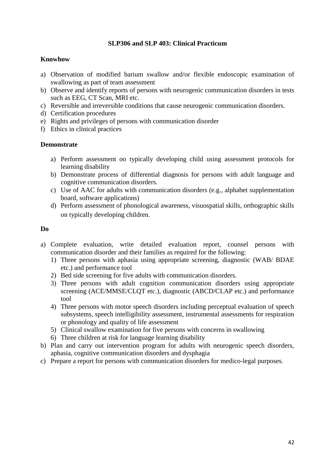## **SLP306 and SLP 403: Clinical Practicum**

#### **Knowhow**

- a) Observation of modified barium swallow and/or flexible endoscopic examination of swallowing as part of team assessment
- b) Observe and identify reports of persons with neurogenic communication disorders in tests such as EEG, CT Scan, MRI etc.
- c) Reversible and irreversible conditions that cause neurogenic communication disorders.
- d) Certification procedures
- e) Rights and privileges of persons with communication disorder
- f) Ethics in clinical practices

#### **Demonstrate**

- a) Perform assessment oo typically developing child using assessment protocols for learning disability
- b) Demonstrate process of differential diagnosis for persons with adult language and cognitive communication disorders.
- c) Use of AAC for adults with communication disorders (e.g., alphabet supplementation board, software applications)
- d) Perform assessment of phonological awareness, visuospatial skills, orthographic skills on typically developing children.

## **Do**

- a) Complete evaluation, write detailed evaluation report, counsel persons with communication disorder and their families as required for the following:
	- 1) Three persons with aphasia using appropriate screening, diagnostic (WAB/ BDAE etc.) and performance tool
	- 2) Bed side screening for five adults with communication disorders.
	- 3) Three persons with adult cognition communication disorders using appropriate screening (ACE/MMSE/CLQT etc.), diagnostic (ABCD/CLAP etc.) and performance tool
	- 4) Three persons with motor speech disorders including perceptual evaluation of speech subsystems, speech intelligibility assessment, instrumental assessments for respiration or phonology and quality of life assessment
	- 5) Clinical swallow examination for five persons with concerns in swallowing
	- 6) Three children at risk for language learning disability
- b) Plan and carry out intervention program for adults with neurogenic speech disorders, aphasia, cognitive communication disorders and dysphagia
- c) Prepare a report for persons with communication disorders for medico-legal purposes.